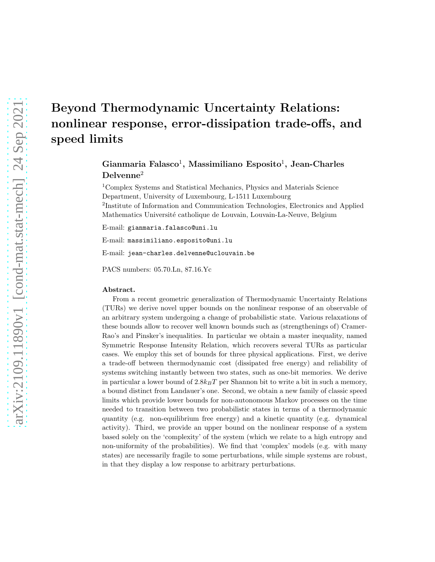# Beyond Thermodynamic Uncertainty Relations: nonlinear response, error-dissipation trade-offs, and speed limits

Gianmaria Falasco<sup>1</sup>, Massimiliano Esposito<sup>1</sup>, Jean-Charles Delvenne<sup>2</sup>

<sup>1</sup>Complex Systems and Statistical Mechanics, Physics and Materials Science Department, University of Luxembourg, L-1511 Luxembourg 2 Institute of Information and Communication Technologies, Electronics and Applied Mathematics Université catholique de Louvain, Louvain-La-Neuve, Belgium

E-mail: gianmaria.falasco@uni.lu

E-mail: massimiliano.esposito@uni.lu

E-mail: jean-charles.delvenne@uclouvain.be

PACS numbers: 05.70.Ln, 87.16.Yc

#### Abstract.

From a recent geometric generalization of Thermodynamic Uncertainty Relations (TURs) we derive novel upper bounds on the nonlinear response of an observable of an arbitrary system undergoing a change of probabilistic state. Various relaxations of these bounds allow to recover well known bounds such as (strengthenings of) Cramer-Rao's and Pinsker's inequalities. In particular we obtain a master inequality, named Symmetric Response Intensity Relation, which recovers several TURs as particular cases. We employ this set of bounds for three physical applications. First, we derive a trade-off between thermodynamic cost (dissipated free energy) and reliability of systems switching instantly between two states, such as one-bit memories. We derive in particular a lower bound of  $2.8k_BT$  per Shannon bit to write a bit in such a memory, a bound distinct from Landauer's one. Second, we obtain a new family of classic speed limits which provide lower bounds for non-autonomous Markov processes on the time needed to transition between two probabilistic states in terms of a thermodynamic quantity (e.g. non-equilibrium free energy) and a kinetic quantity (e.g. dynamical activity). Third, we provide an upper bound on the nonlinear response of a system based solely on the 'complexity' of the system (which we relate to a high entropy and non-uniformity of the probabilities). We find that 'complex' models (e.g. with many states) are necessarily fragile to some perturbations, while simple systems are robust, in that they display a low response to arbitrary perturbations.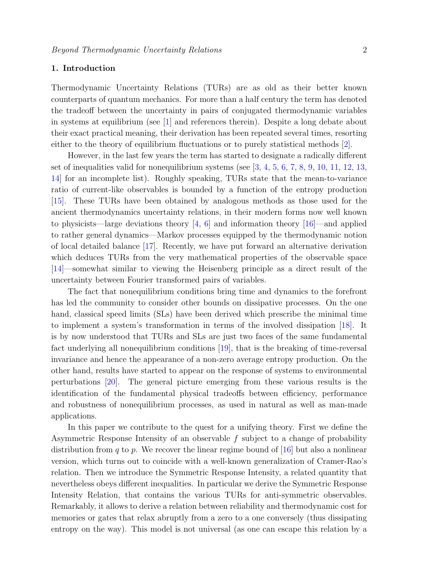### 1. Introduction

Thermodynamic Uncertainty Relations (TURs) are as old as their better known counterparts of quantum mechanics. For more than a half century the term has denoted the tradeoff between the uncertainty in pairs of conjugated thermodynamic variables in systems at equilibrium (see [\[1\]](#page-26-0) and references therein). Despite a long debate about their exact practical meaning, their derivation has been repeated several times, resorting either to the theory of equilibrium fluctuations or to purely statistical methods [\[2\]](#page-26-1).

However, in the last few years the term has started to designate a radically different set of inequalities valid for nonequilibrium systems (see  $[3, 4, 5, 6, 7, 8, 9, 10, 11, 12, 13,$  $[3, 4, 5, 6, 7, 8, 9, 10, 11, 12, 13,$  $[3, 4, 5, 6, 7, 8, 9, 10, 11, 12, 13,$  $[3, 4, 5, 6, 7, 8, 9, 10, 11, 12, 13,$  $[3, 4, 5, 6, 7, 8, 9, 10, 11, 12, 13,$  $[3, 4, 5, 6, 7, 8, 9, 10, 11, 12, 13,$  $[3, 4, 5, 6, 7, 8, 9, 10, 11, 12, 13,$  $[3, 4, 5, 6, 7, 8, 9, 10, 11, 12, 13,$  $[3, 4, 5, 6, 7, 8, 9, 10, 11, 12, 13,$  $[3, 4, 5, 6, 7, 8, 9, 10, 11, 12, 13,$  $[3, 4, 5, 6, 7, 8, 9, 10, 11, 12, 13,$  $[3, 4, 5, 6, 7, 8, 9, 10, 11, 12, 13,$  $[3, 4, 5, 6, 7, 8, 9, 10, 11, 12, 13,$  $[3, 4, 5, 6, 7, 8, 9, 10, 11, 12, 13,$  $[3, 4, 5, 6, 7, 8, 9, 10, 11, 12, 13,$  $[3, 4, 5, 6, 7, 8, 9, 10, 11, 12, 13,$  $[3, 4, 5, 6, 7, 8, 9, 10, 11, 12, 13,$  $[3, 4, 5, 6, 7, 8, 9, 10, 11, 12, 13,$  $[3, 4, 5, 6, 7, 8, 9, 10, 11, 12, 13,$  $[3, 4, 5, 6, 7, 8, 9, 10, 11, 12, 13,$ [14\]](#page-26-13) for an incomplete list). Roughly speaking, TURs state that the mean-to-variance ratio of current-like observables is bounded by a function of the entropy production [\[15\]](#page-26-14). These TURs have been obtained by analogous methods as those used for the ancient thermodynamics uncertainty relations, in their modern forms now well known to physicists—large deviations theory  $[4, 6]$  $[4, 6]$  and information theory  $[16]$ —and applied to rather general dynamics—Markov processes equipped by the thermodynamic notion of local detailed balance [\[17\]](#page-26-16). Recently, we have put forward an alternative derivation which deduces TURs from the very mathematical properties of the observable space [\[14\]](#page-26-13)—somewhat similar to viewing the Heisenberg principle as a direct result of the uncertainty between Fourier transformed pairs of variables.

The fact that nonequilibrium conditions bring time and dynamics to the forefront has led the community to consider other bounds on dissipative processes. On the one hand, classical speed limits (SLs) have been derived which prescribe the minimal time to implement a system's transformation in terms of the involved dissipation [\[18\]](#page-26-17). It is by now understood that TURs and SLs are just two faces of the same fundamental fact underlying all nonequilibrium conditions [\[19\]](#page-26-18), that is the breaking of time-reversal invariance and hence the appearance of a non-zero average entropy production. On the other hand, results have started to appear on the response of systems to environmental perturbations [\[20\]](#page-26-19). The general picture emerging from these various results is the identification of the fundamental physical tradeoffs between efficiency, performance and robustness of nonequilibrium processes, as used in natural as well as man-made applications.

In this paper we contribute to the quest for a unifying theory. First we define the Asymmetric Response Intensity of an observable  $f$  subject to a change of probability distribution from q to p. We recover the linear regime bound of [\[16\]](#page-26-15) but also a nonlinear version, which turns out to coincide with a well-known generalization of Cramer-Rao's relation. Then we introduce the Symmetric Response Intensity, a related quantity that nevertheless obeys different inequalities. In particular we derive the Symmetric Response Intensity Relation, that contains the various TURs for anti-symmetric observables. Remarkably, it allows to derive a relation between reliability and thermodynamic cost for memories or gates that relax abruptly from a zero to a one conversely (thus dissipating entropy on the way). This model is not universal (as one can escape this relation by a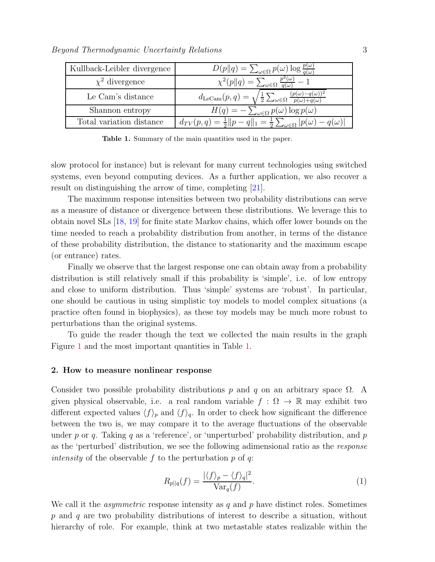| Kullback-Leibler divergence | $D(p  q) = \sum_{\omega \in \Omega} p(\omega) \log \frac{p(\omega)}{q(\omega)}$                                               |
|-----------------------------|-------------------------------------------------------------------------------------------------------------------------------|
| $\chi^2$ divergence         | $\chi^2(p  q) = \sum_{\omega \in \Omega} \frac{p^2(\omega)}{q(\omega)} - 1$                                                   |
| Le Cam's distance           | $d_{\text{LeCam}}(p,q) = \sqrt{\frac{1}{2} \sum_{\omega \in \Omega} \frac{(p(\omega) - q(\omega))^2}{p(\omega) + q(\omega)}}$ |
| Shannon entropy             | $H(q) = -\sum_{\omega \in \Omega} p(\omega) \log p(\omega)$                                                                   |
| Total variation distance    | $d_{TV}(p,q) = \frac{1}{2}   p - q  _1 = \frac{1}{2} \sum_{\omega \in \Omega}  p(\omega) - q(\omega) $                        |

<span id="page-2-0"></span>Table 1. Summary of the main quantities used in the paper.

slow protocol for instance) but is relevant for many current technologies using switched systems, even beyond computing devices. As a further application, we also recover a result on distinguishing the arrow of time, completing [\[21\]](#page-26-20).

The maximum response intensities between two probability distributions can serve as a measure of distance or divergence between these distributions. We leverage this to obtain novel SLs [\[18,](#page-26-17) [19\]](#page-26-18) for finite state Markov chains, which offer lower bounds on the time needed to reach a probability distribution from another, in terms of the distance of these probability distribution, the distance to stationarity and the maximum escape (or entrance) rates.

Finally we observe that the largest response one can obtain away from a probability distribution is still relatively small if this probability is 'simple', i.e. of low entropy and close to uniform distribution. Thus 'simple' systems are 'robust'. In particular, one should be cautious in using simplistic toy models to model complex situations (a practice often found in biophysics), as these toy models may be much more robust to perturbations than the original systems.

To guide the reader though the text we collected the main results in the graph Figure [1](#page-3-0) and the most important quantities in Table [1.](#page-2-0)

### 2. How to measure nonlinear response

Consider two possible probability distributions p and q on an arbitrary space  $\Omega$ . A given physical observable, i.e. a real random variable  $f : \Omega \to \mathbb{R}$  may exhibit two different expected values  $\langle f \rangle_p$  and  $\langle f \rangle_q$ . In order to check how significant the difference between the two is, we may compare it to the average fluctuations of the observable under p or q. Taking q as a 'reference', or 'unperturbed' probability distribution, and p as the 'perturbed' distribution, we see the following adimensional ratio as the response *intensity* of the observable f to the perturbation p of q:

<span id="page-2-1"></span>
$$
R_{p||q}(f) = \frac{|\langle f \rangle_p - \langle f \rangle_q|^2}{\text{Var}_q(f)}.\tag{1}
$$

We call it the *asymmetric* response intensity as q and p have distinct roles. Sometimes p and q are two probability distributions of interest to describe a situation, without hierarchy of role. For example, think at two metastable states realizable within the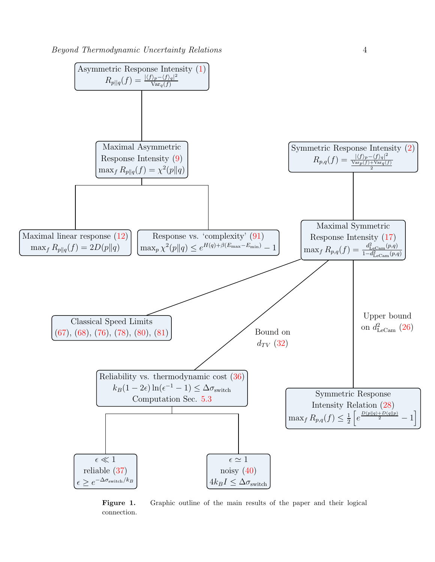

<span id="page-3-0"></span>Figure 1. Graphic outline of the main results of the paper and their logical connection.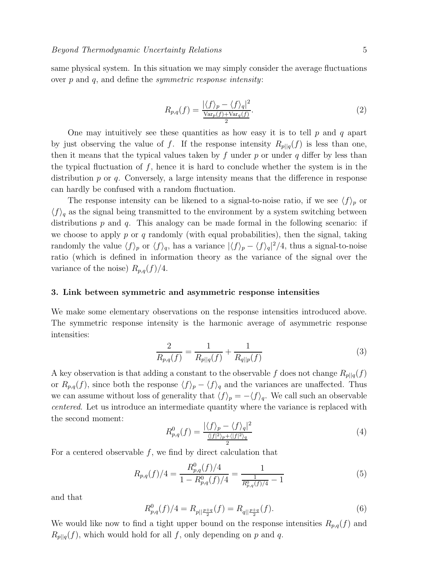same physical system. In this situation we may simply consider the average fluctuations over  $p$  and  $q$ , and define the *symmetric response intensity*:

<span id="page-4-0"></span>
$$
R_{p,q}(f) = \frac{|\langle f \rangle_p - \langle f \rangle_q|^2}{\frac{\text{Var}_p(f) + \text{Var}_q(f)}{2}}.\tag{2}
$$

One may intuitively see these quantities as how easy it is to tell  $p$  and  $q$  apart by just observing the value of f. If the response intensity  $R_{p||q}(f)$  is less than one, then it means that the typical values taken by  $f$  under  $p$  or under  $q$  differ by less than the typical fluctuation of  $f$ , hence it is hard to conclude whether the system is in the distribution  $p$  or  $q$ . Conversely, a large intensity means that the difference in response can hardly be confused with a random fluctuation.

The response intensity can be likened to a signal-to-noise ratio, if we see  $\langle f \rangle_p$  or  $\langle f \rangle_q$  as the signal being transmitted to the environment by a system switching between distributions  $p$  and  $q$ . This analogy can be made formal in the following scenario: if we choose to apply  $p$  or  $q$  randomly (with equal probabilities), then the signal, taking randomly the value  $\langle f \rangle_p$  or  $\langle f \rangle_q$ , has a variance  $|\langle f \rangle_p - \langle f \rangle_q|^2/4$ , thus a signal-to-noise ratio (which is defined in information theory as the variance of the signal over the variance of the noise)  $R_{p,q}(f)/4$ .

### 3. Link between symmetric and asymmetric response intensities

We make some elementary observations on the response intensities introduced above. The symmetric response intensity is the harmonic average of asymmetric response intensities:

$$
\frac{2}{R_{p,q}(f)} = \frac{1}{R_{p||q}(f)} + \frac{1}{R_{q||p}(f)}\tag{3}
$$

A key observation is that adding a constant to the observable f does not change  $R_{p||q}(f)$ or  $R_{p,q}(f)$ , since both the response  $\langle f \rangle_p - \langle f \rangle_q$  and the variances are unaffected. Thus we can assume without loss of generality that  $\langle f \rangle_p = -\langle f \rangle_q$ . We call such an observable centered. Let us introduce an intermediate quantity where the variance is replaced with the second moment:

<span id="page-4-1"></span>
$$
R_{p,q}^0(f) = \frac{|\langle f \rangle_p - \langle f \rangle_q|^2}{\frac{\langle |f|^2 \rangle_p + \langle |f|^2 \rangle_q}{2}} \tag{4}
$$

For a centered observable  $f$ , we find by direct calculation that

<span id="page-4-3"></span>
$$
R_{p,q}(f)/4 = \frac{R_{p,q}^0(f)/4}{1 - R_{p,q}^0(f)/4} = \frac{1}{\frac{1}{R_{p,q}^0(f)/4} - 1}
$$
(5)

and that

<span id="page-4-2"></span>
$$
R_{p,q}^0(f)/4 = R_{p||\frac{p+q}{2}}(f) = R_{q||\frac{p+q}{2}}(f).
$$
 (6)

We would like now to find a tight upper bound on the response intensities  $R_{p,q}(f)$  and  $R_{p||q}(f)$ , which would hold for all f, only depending on p and q.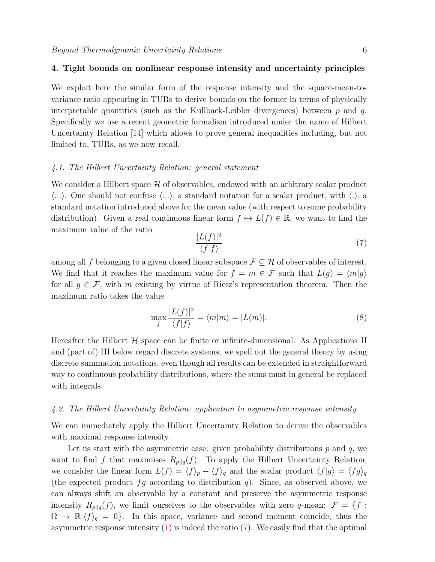### 4. Tight bounds on nonlinear response intensity and uncertainty principles

We exploit here the similar form of the response intensity and the square-mean-tovariance ratio appearing in TURs to derive bounds on the former in terms of physically interpretable quantities (such as the Kullback-Leibler divergences) between  $p$  and  $q$ . Specifically we use a recent geometric formalism introduced under the name of Hilbert Uncertainty Relation [\[14\]](#page-26-13) which allows to prove general inequalities including, but not limited to, TURs, as we now recall.

### 4.1. The Hilbert Uncertainty Relation: general statement

We consider a Hilbert space  $H$  of observables, endowed with an arbitrary scalar product  $\langle .|. \rangle$ . One should not confuse  $\langle .|. \rangle$ , a standard notation for a scalar product, with  $\langle . \rangle$ , a standard notation introduced above for the mean value (with respect to some probability distribution). Given a real continuous linear form  $f \mapsto L(f) \in \mathbb{R}$ , we want to find the maximum value of the ratio

<span id="page-5-0"></span>
$$
\frac{|L(f)|^2}{\langle f|f\rangle} \tag{7}
$$

among all f belonging to a given closed linear subspace  $\mathcal{F} \subseteq \mathcal{H}$  of observables of interest. We find that it reaches the maximum value for  $f = m \in \mathcal{F}$  such that  $L(g) = \langle m|g \rangle$ for all  $g \in \mathcal{F}$ , with m existing by virtue of Riesz's representation theorem. Then the maximum ratio takes the value

$$
\max_{f} \frac{|L(f)|^2}{\langle f|f \rangle} = \langle m|m \rangle = |L(m)|. \tag{8}
$$

Hereafter the Hilbert  $\mathcal H$  space can be finite or infinite-dimensional. As Applications II and (part of) III below regard discrete systems, we spell out the general theory by using discrete summation notations, even though all results can be extended in straightforward way to continuous probability distributions, where the sums must in general be replaced with integrals.

### 4.2. The Hilbert Uncertainty Relation: application to asymmetric response intensity

We can immediately apply the Hilbert Uncertainty Relation to derive the observables with maximal response intensity.

Let us start with the asymmetric case: given probability distributions  $p$  and  $q$ , we want to find f that maximises  $R_{p||q}(f)$ . To apply the Hilbert Uncertainty Relation, we consider the linear form  $L(f) = \langle f \rangle_p - \langle f \rangle_q$  and the scalar product  $\langle f|g \rangle = \langle fg \rangle_q$ (the expected product  $fg$  according to distribution q). Since, as observed above, we can always shift an observable by a constant and preserve the asymmetric response intensity  $R_{p||q}(f)$ , we limit ourselves to the observables with zero q-mean:  $\mathcal{F} = \{f :$  $\Omega \to \mathbb{R} \langle f \rangle_q = 0$ . In this space, variance and second moment coincide, thus the asymmetric response intensity  $(1)$  is indeed the ratio  $(7)$ . We easily find that the optimal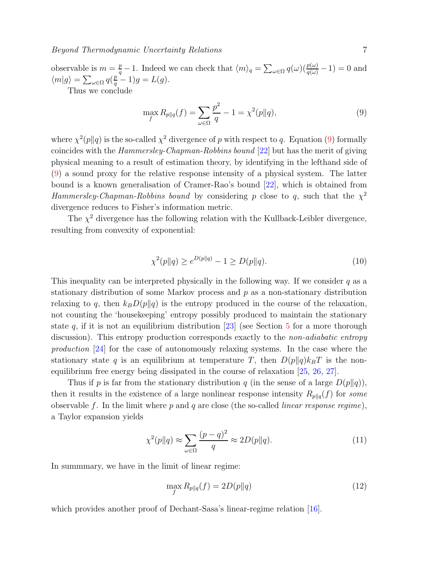observable is  $m = \frac{p}{q} - 1$ . Indeed we can check that  $\langle m \rangle_q = \sum_{\omega \in \Omega} q(\omega) (\frac{p(\omega)}{q(\omega)} - 1) = 0$  and  $\langle m|g\rangle = \sum_{\omega \in \Omega} q(\frac{p}{q} - 1)g = L(g).$ Thus we conclude

<span id="page-6-0"></span>
$$
\max_{f} R_{p||q}(f) = \sum_{\omega \in \Omega} \frac{p^2}{q} - 1 = \chi^2(p||q),\tag{9}
$$

where  $\chi^2(p||q)$  is the so-called  $\chi^2$  divergence of p with respect to q. Equation [\(9\)](#page-6-0) formally coincides with the Hammersley-Chapman-Robbins bound [\[22\]](#page-26-21) but has the merit of giving physical meaning to a result of estimation theory, by identifying in the lefthand side of [\(9\)](#page-6-0) a sound proxy for the relative response intensity of a physical system. The latter bound is a known generalisation of Cramer-Rao's bound [\[22\]](#page-26-21), which is obtained from Hammersley-Chapman-Robbins bound by considering p close to q, such that the  $\chi^2$ divergence reduces to Fisher's information metric.

The  $\chi^2$  divergence has the following relation with the Kullback-Leibler divergence, resulting from convexity of exponential:

<span id="page-6-2"></span>
$$
\chi^2(p||q) \ge e^{D(p||q)} - 1 \ge D(p||q). \tag{10}
$$

This inequality can be interpreted physically in the following way. If we consider  $q$  as a stationary distribution of some Markov process and p as a non-stationary distribution relaxing to q, then  $k_B D(p||q)$  is the entropy produced in the course of the relaxation, not counting the 'housekeeping' entropy possibly produced to maintain the stationary state q, if it is not an equilibrium distribution [\[23\]](#page-26-22) (see Section [5](#page-9-1) for a more thorough discussion). This entropy production corresponds exactly to the *non-adiabatic entropy* production [\[24\]](#page-26-23) for the case of autonomously relaxing systems. In the case where the stationary state q is an equilibrium at temperature T, then  $D(p||q)k_BT$  is the nonequilibrium free energy being dissipated in the course of relaxation [\[25,](#page-26-24) [26,](#page-26-25) [27\]](#page-26-26).

Thus if p is far from the stationary distribution q (in the sense of a large  $D(p||q)$ ), then it results in the existence of a large nonlinear response intensity  $R_{p||q}(f)$  for some observable f. In the limit where  $p$  and  $q$  are close (the so-called *linear response regime*), a Taylor expansion yields

$$
\chi^2(p||q) \approx \sum_{\omega \in \Omega} \frac{(p-q)^2}{q} \approx 2D(p||q). \tag{11}
$$

In summmary, we have in the limit of linear regime:

<span id="page-6-1"></span>
$$
\max_{f} R_{p||q}(f) = 2D(p||q)
$$
\n(12)

which provides another proof of Dechant-Sasa's linear-regime relation [\[16\]](#page-26-15).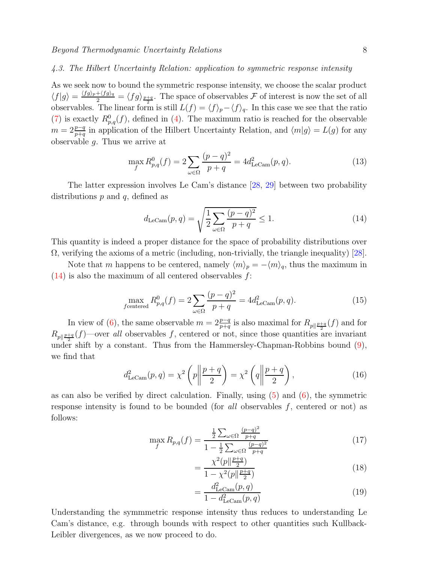### <span id="page-7-3"></span>4.3. The Hilbert Uncertainty Relation: application to symmetric response intensity

As we seek now to bound the symmetric response intensity, we choose the scalar product  $\langle f|g\rangle = \frac{\langle fg\rangle_p + \langle fg\rangle_q}{2} = \langle fg\rangle_{\frac{p+q}{2}}$ . The space of observables F of interest is now the set of all observables. The linear form is still  $L(f) = \langle f \rangle_p - \langle f \rangle_q$ . In this case we see that the ratio [\(7\)](#page-5-0) is exactly  $R_{p,q}^0(f)$ , defined in [\(4\)](#page-4-1). The maximum ratio is reached for the observable  $m = 2\frac{p-q}{p+q}$  in application of the Hilbert Uncertainty Relation, and  $\langle m|g \rangle = L(g)$  for any observable  $g$ . Thus we arrive at

<span id="page-7-2"></span>
$$
\max_{f} R_{p,q}^{0}(f) = 2 \sum_{\omega \in \Omega} \frac{(p-q)^{2}}{p+q} = 4d_{\text{LeCam}}^{2}(p,q). \tag{13}
$$

The latter expression involves Le Cam's distance [\[28,](#page-26-27) [29\]](#page-26-28) between two probability distributions  $p$  and  $q$ , defined as

<span id="page-7-1"></span>
$$
d_{\text{LeCam}}(p,q) = \sqrt{\frac{1}{2} \sum_{\omega \in \Omega} \frac{(p-q)^2}{p+q}} \le 1.
$$
 (14)

This quantity is indeed a proper distance for the space of probability distributions over  $\Omega$ , verifying the axioms of a metric (including, non-trivially, the triangle inequality) [\[28\]](#page-26-27).

Note that m happens to be centered, namely  $\langle m \rangle_p = -\langle m \rangle_q$ , thus the maximum in  $(14)$  is also the maximum of all centered observables f:

$$
\max_{f \text{centered}} R_{p,q}^0(f) = 2 \sum_{\omega \in \Omega} \frac{(p-q)^2}{p+q} = 4d_{\text{LeCam}}^2(p,q). \tag{15}
$$

In view of [\(6\)](#page-4-2), the same observable  $m = 2\frac{p-q}{p+q}$  is also maximal for  $R_{p\parallel \frac{p+q}{2}}(f)$  and for  $R_{p\parallel \frac{p+q}{2}}(f)$ —over all observables f, centered or not, since those quantities are invariant under shift by a constant. Thus from the Hammersley-Chapman-Robbins bound [\(9\)](#page-6-0), we find that

$$
d_{\text{LeCam}}^2(p,q) = \chi^2\left(p \middle\| \frac{p+q}{2}\right) = \chi^2\left(q \middle\| \frac{p+q}{2}\right),\tag{16}
$$

as can also be verified by direct calculation. Finally, using  $(5)$  and  $(6)$ , the symmetric response intensity is found to be bounded (for all observables  $f$ , centered or not) as follows:

$$
\max_{f} R_{p,q}(f) = \frac{\frac{1}{2} \sum_{\omega \in \Omega} \frac{(p-q)^2}{p+q}}{1 - \frac{1}{2} \sum_{\omega \in \Omega} \frac{(p-q)^2}{p+q}}
$$
(17)

<span id="page-7-0"></span>
$$
=\frac{\chi^2(p\|\frac{p+q}{2})}{1-\chi^2(p\|\frac{p+q}{2})}\tag{18}
$$

$$
=\frac{d_{\text{LeCam}}^2(p,q)}{1-d_{\text{LeCam}}^2(p,q)}\tag{19}
$$

Understanding the symmmetric response intensity thus reduces to understanding Le Cam's distance, e.g. through bounds with respect to other quantities such Kullback-Leibler divergences, as we now proceed to do.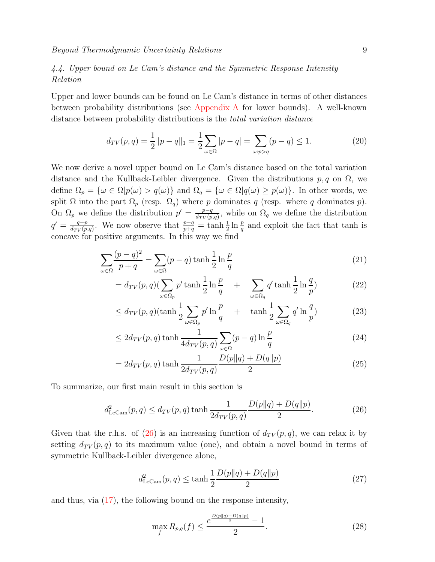# 4.4. Upper bound on Le Cam's distance and the Symmetric Response Intensity Relation

Upper and lower bounds can be found on Le Cam's distance in terms of other distances between probability distributions (see [Appendix A](#page-22-0) for lower bounds). A well-known distance between probability distributions is the total variation distance

$$
d_{TV}(p,q) = \frac{1}{2} ||p - q||_1 = \frac{1}{2} \sum_{\omega \in \Omega} |p - q| = \sum_{\omega : p > q} (p - q) \le 1.
$$
 (20)

We now derive a novel upper bound on Le Cam's distance based on the total variation distance and the Kullback-Leibler divergence. Given the distributions  $p, q$  on  $\Omega$ , we define  $\Omega_p = {\omega \in \Omega | p(\omega) > q(\omega)}$  and  $\Omega_q = {\omega \in \Omega | q(\omega) \geq p(\omega)}$ . In other words, we split  $\Omega$  into the part  $\Omega_p$  (resp.  $\Omega_q$ ) where p dominates q (resp. where q dominates p). On  $\Omega_p$  we define the distribution  $p' = \frac{p-q}{dxV(p)}$  $\frac{p-q}{d_{TV}(p,q)}$ , while on  $\Omega_q$  we define the distribution  $q' = \frac{q-p}{d_{\text{av}}(p)}$  $\frac{q-p}{d_{TV}(p,q)}$ . We now observe that  $\frac{p-q}{p+q} = \tanh\frac{1}{2}\ln\frac{p}{q}$  and exploit the fact that tanh is concave for positive arguments. In this way we find

$$
\sum_{\omega \in \Omega} \frac{(p-q)^2}{p+q} = \sum_{\omega \in \Omega} (p-q) \tanh\frac{1}{2} \ln\frac{p}{q}
$$
 (21)

$$
= d_{TV}(p,q) \left(\sum_{\omega \in \Omega_p} p' \tanh\frac{1}{2}\ln\frac{p}{q} + \sum_{\omega \in \Omega_q} q' \tanh\frac{1}{2}\ln\frac{q}{p}\right) \tag{22}
$$

$$
\leq d_{TV}(p,q)(\tanh\frac{1}{2}\sum_{\omega\in\Omega_p}p'\ln\frac{p}{q} + \tanh\frac{1}{2}\sum_{\omega\in\Omega_q}q'\ln\frac{q}{p})
$$
\n(23)

$$
\leq 2d_{TV}(p,q)\tanh\frac{1}{4d_{TV}(p,q)}\sum_{\omega\in\Omega}(p-q)\ln\frac{p}{q}
$$
\n(24)

$$
= 2d_{TV}(p,q)\tanh\frac{1}{2d_{TV}(p,q)}\frac{D(p||q) + D(q||p)}{2}
$$
\n(25)

To summarize, our first main result in this section is

<span id="page-8-0"></span>
$$
d_{\text{LeCam}}^2(p,q) \le d_{TV}(p,q) \tanh \frac{1}{2d_{TV}(p,q)} \frac{D(p||q) + D(q||p)}{2}.
$$
 (26)

Given that the r.h.s. of [\(26\)](#page-8-0) is an increasing function of  $d_{TV}(p,q)$ , we can relax it by setting  $d_{TV}(p,q)$  to its maximum value (one), and obtain a novel bound in terms of symmetric Kullback-Leibler divergence alone,

<span id="page-8-2"></span>
$$
d_{\text{LeCam}}^2(p,q) \le \tanh\frac{1}{2}\frac{D(p||q) + D(q||p)}{2} \tag{27}
$$

and thus, via [\(17\)](#page-7-0), the following bound on the response intensity,

<span id="page-8-1"></span>
$$
\max_{f} R_{p,q}(f) \le \frac{e^{\frac{D(p||q) + D(q||p)}{2}} - 1}{2}.
$$
\n(28)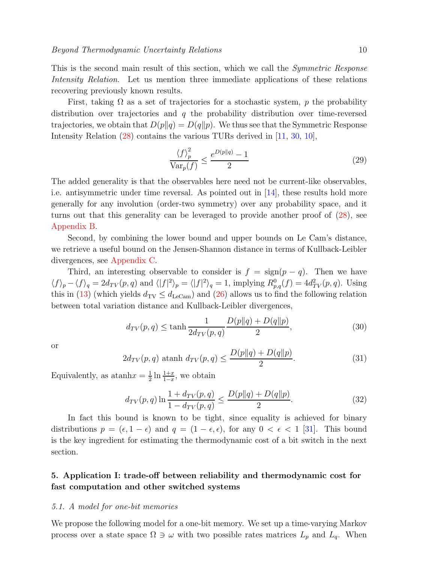This is the second main result of this section, which we call the *Symmetric Response* Intensity Relation. Let us mention three immediate applications of these relations recovering previously known results.

First, taking  $\Omega$  as a set of trajectories for a stochastic system, p the probability distribution over trajectories and  $q$  the probability distribution over time-reversed trajectories, we obtain that  $D(p||q) = D(q||p)$ . We thus see that the Symmetric Response Intensity Relation  $(28)$  contains the various TURs derived in [\[11,](#page-26-10) [30,](#page-26-29) [10\]](#page-26-9),

$$
\frac{\langle f \rangle_p^2}{\text{Var}_p(f)} \le \frac{e^{D(p||q)} - 1}{2} \tag{29}
$$

The added generality is that the observables here need not be current-like observables, i.e. antisymmetric under time reversal. As pointed out in [\[14\]](#page-26-13), these results hold more generally for any involution (order-two symmetry) over any probability space, and it turns out that this generality can be leveraged to provide another proof of [\(28\)](#page-8-1), see [Appendix B.](#page-23-0)

Second, by combining the lower bound and upper bounds on Le Cam's distance, we retrieve a useful bound on the Jensen-Shannon distance in terms of Kullback-Leibler divergences, see [Appendix C.](#page-23-1)

Third, an interesting observable to consider is  $f = sign(p - q)$ . Then we have  $\langle f \rangle_p - \langle f \rangle_q = 2d_{TV}(p, q)$  and  $\langle |f|^2 \rangle_p = \langle |f|^2 \rangle_q = 1$ , implying  $R_{p,q}^0(f) = 4d_{TV}^2(p, q)$ . Using this in [\(13\)](#page-7-2) (which yields  $d_{\text{TV}} \leq d_{\text{LeCam}}$ ) and [\(26\)](#page-8-0) allows us to find the following relation between total variation distance and Kullback-Leibler divergences,

$$
d_{TV}(p,q) \le \tanh\frac{1}{2d_{TV}(p,q)}\frac{D(p||q) + D(q||p)}{2},\tag{30}
$$

or

$$
2d_{TV}(p,q) \text{ atanh } d_{TV}(p,q) \le \frac{D(p||q) + D(q||p)}{2}.
$$
 (31)

Equivalently, as at an  $\ln x = \frac{1}{2}$  $\frac{1}{2} \ln \frac{1+x}{1-x}$ , we obtain

<span id="page-9-0"></span>
$$
d_{TV}(p,q) \ln \frac{1 + d_{TV}(p,q)}{1 - d_{TV}(p,q)} \le \frac{D(p||q) + D(q||p)}{2}.
$$
 (32)

In fact this bound is known to be tight, since equality is achieved for binary distributions  $p = (\epsilon, 1 - \epsilon)$  and  $q = (1 - \epsilon, \epsilon)$ , for any  $0 < \epsilon < 1$  [\[31\]](#page-26-30). This bound is the key ingredient for estimating the thermodynamic cost of a bit switch in the next section.

# <span id="page-9-1"></span>5. Application I: trade-off between reliability and thermodynamic cost for fast computation and other switched systems

### 5.1. A model for one-bit memories

We propose the following model for a one-bit memory. We set up a time-varying Markov process over a state space  $\Omega \ni \omega$  with two possible rates matrices  $L_p$  and  $L_q$ . When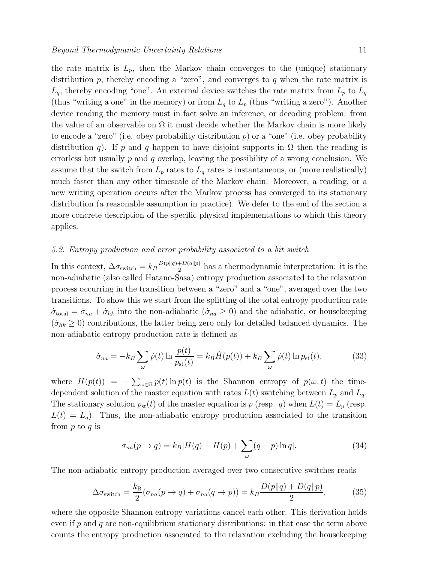applies.

the rate matrix is  $L_p$ , then the Markov chain converges to the (unique) stationary distribution  $p$ , thereby encoding a "zero", and converges to  $q$  when the rate matrix is  $L_q$ , thereby encoding "one". An external device switches the rate matrix from  $L_p$  to  $L_q$ (thus "writing a one" in the memory) or from  $L_q$  to  $L_p$  (thus "writing a zero"). Another device reading the memory must in fact solve an inference, or decoding problem: from the value of an observable on  $\Omega$  it must decide whether the Markov chain is more likely to encode a "zero" (i.e. obey probability distribution  $p$ ) or a "one" (i.e. obey probability distribution q). If p and q happen to have disjoint supports in  $\Omega$  then the reading is errorless but usually  $p$  and  $q$  overlap, leaving the possibility of a wrong conclusion. We assume that the switch from  $L_p$  rates to  $L_q$  rates is instantaneous, or (more realistically) much faster than any other timescale of the Markov chain. Moreover, a reading, or a new writing operation occurs after the Markov process has converged to its stationary distribution (a reasonable assumption in practice). We defer to the end of the section a more concrete description of the specific physical implementations to which this theory

### 5.2. Entropy production and error probability associated to a bit switch

In this context,  $\Delta \sigma_{\text{switch}} = k_B \frac{D(p||q) + D(q||p)}{2}$  $\frac{1+D(q||p)}{2}$  has a thermodynamic interpretation: it is the non-adiabatic (also called Hatano-Sasa) entropy production associated to the relaxation process occurring in the transition between a "zero" and a "one", averaged over the two transitions. To show this we start from the splitting of the total entropy production rate  $\dot{\sigma}_{\text{total}} = \dot{\sigma}_{na} + \dot{\sigma}_{hk}$  into the non-adiabatic  $(\dot{\sigma}_{na} \geq 0)$  and the adiabatic, or housekeeping  $({\dot\sigma}_{hk} \geq 0)$  contributions, the latter being zero only for detailed balanced dynamics. The non-adiabatic entropy production rate is defined as

$$
\dot{\sigma}_{na} = -k_B \sum_{\omega} \dot{p}(t) \ln \frac{p(t)}{p_{\rm st}(t)} = k_B \dot{H}(p(t)) + k_B \sum_{\omega} \dot{p}(t) \ln p_{\rm st}(t),\tag{33}
$$

where  $H(p(t)) = -\sum_{\omega \in \Omega} p(t) \ln p(t)$  is the Shannon entropy of  $p(\omega, t)$  the timedependent solution of the master equation with rates  $L(t)$  switching between  $L_p$  and  $L_q$ . The stationary solution  $p_{st}(t)$  of the master equation is p (resp. q) when  $L(t) = L_p$  (resp.  $L(t) = L_q$ ). Thus, the non-adiabatic entropy production associated to the transition from  $p$  to  $q$  is

$$
\sigma_{na}(p \to q) = k_B[H(q) - H(p) + \sum_{\omega} (q - p) \ln q]. \tag{34}
$$

The non-adiabatic entropy production averaged over two consecutive switches reads

$$
\Delta \sigma_{\text{switch}} = \frac{k_{\text{B}}}{2} (\sigma_{na}(p \to q) + \sigma_{na}(q \to p)) = k_{B} \frac{D(p||q) + D(q||p)}{2},\tag{35}
$$

where the opposite Shannon entropy variations cancel each other. This derivation holds even if p and q are non-equilibrium stationary distributions: in that case the term above counts the entropy production associated to the relaxation excluding the housekeeping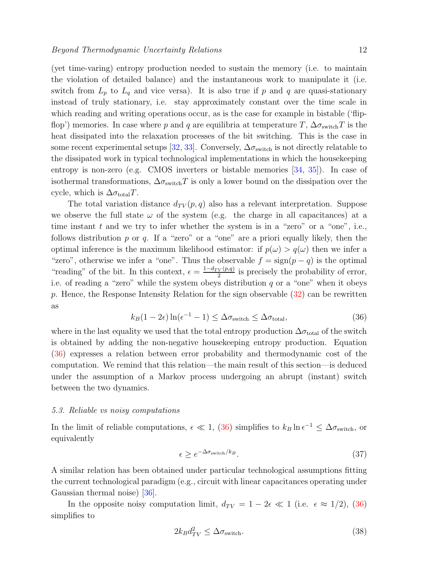(yet time-varing) entropy production needed to sustain the memory (i.e. to maintain the violation of detailed balance) and the instantaneous work to manipulate it (i.e. switch from  $L_p$  to  $L_q$  and vice versa). It is also true if p and q are quasi-stationary instead of truly stationary, i.e. stay approximately constant over the time scale in which reading and writing operations occur, as is the case for example in bistable ('flipflop') memories. In case where p and q are equilibria at temperature T,  $\Delta \sigma_{\text{switch}}T$  is the heat dissipated into the relaxation processes of the bit switching. This is the case in some recent experimental setups [\[32,](#page-26-31) [33\]](#page-26-32). Conversely,  $\Delta \sigma_{\text{switch}}$  is not directly relatable to the dissipated work in typical technological implementations in which the housekeeping entropy is non-zero (e.g. CMOS inverters or bistable memories [\[34,](#page-26-33) [35\]](#page-26-34)). In case of isothermal transformations,  $\Delta \sigma_{switch}T$  is only a lower bound on the dissipation over the cycle, which is  $\Delta \sigma_{\text{total}} T$ .

The total variation distance  $d_{TV}(p,q)$  also has a relevant interpretation. Suppose we observe the full state  $\omega$  of the system (e.g. the charge in all capacitances) at a time instant  $t$  and we try to infer whether the system is in a "zero" or a "one", i.e., follows distribution  $p$  or  $q$ . If a "zero" or a "one" are a priori equally likely, then the optimal inference is the maximum likelihood estimator: if  $p(\omega) > q(\omega)$  then we infer a "zero", otherwise we infer a "one". Thus the observable  $f = sign(p - q)$  is the optimal "reading" of the bit. In this context,  $\epsilon = \frac{1-d_{TV}(p,q)}{2}$  $\frac{V(p,q)}{2}$  is precisely the probability of error, i.e. of reading a "zero" while the system obeys distribution q or a "one" when it obeys p. Hence, the Response Intensity Relation for the sign observable  $(32)$  can be rewritten as

<span id="page-11-0"></span>
$$
k_B(1 - 2\epsilon) \ln(\epsilon^{-1} - 1) \le \Delta \sigma_{\text{switch}} \le \Delta \sigma_{\text{total}},\tag{36}
$$

where in the last equality we used that the total entropy production  $\Delta \sigma_{\rm total}$  of the switch is obtained by adding the non-negative housekeeping entropy production. Equation [\(36\)](#page-11-0) expresses a relation between error probability and thermodynamic cost of the computation. We remind that this relation—the main result of this section—is deduced under the assumption of a Markov process undergoing an abrupt (instant) switch between the two dynamics.

### <span id="page-11-1"></span>5.3. Reliable vs noisy computations

In the limit of reliable computations,  $\epsilon \ll 1$ , [\(36\)](#page-11-0) simplifies to  $k_B \ln \epsilon^{-1} \leq \Delta \sigma_{\text{switch}}$ , or equivalently

<span id="page-11-2"></span>
$$
\epsilon \ge e^{-\Delta \sigma_{\text{switch}}/k_B}.\tag{37}
$$

A similar relation has been obtained under particular technological assumptions fitting the current technological paradigm (e.g., circuit with linear capacitances operating under Gaussian thermal noise) [\[36\]](#page-27-0).

In the opposite noisy computation limit,  $d_{TV} = 1 - 2\epsilon \ll 1$  (i.e.  $\epsilon \approx 1/2$ ), [\(36\)](#page-11-0) simplifies to

$$
2k_B d_{TV}^2 \le \Delta \sigma_{\text{switch}}.\tag{38}
$$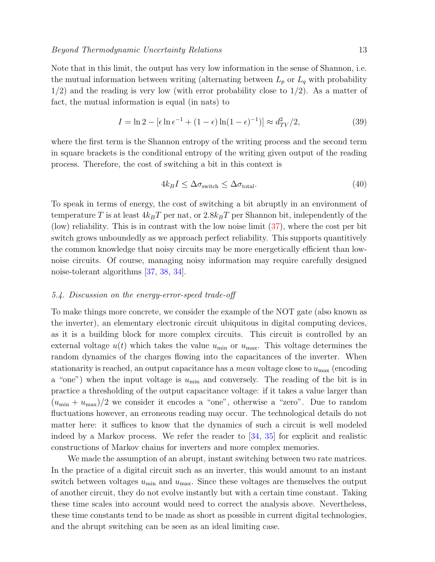Note that in this limit, the output has very low information in the sense of Shannon, i.e. the mutual information between writing (alternating between  $L_p$  or  $L_q$  with probability  $1/2$ ) and the reading is very low (with error probability close to  $1/2$ ). As a matter of fact, the mutual information is equal (in nats) to

$$
I = \ln 2 - \left[\epsilon \ln \epsilon^{-1} + (1 - \epsilon) \ln (1 - \epsilon)^{-1}\right] \approx d_{TV}^2/2,
$$
\n(39)

where the first term is the Shannon entropy of the writing process and the second term in square brackets is the conditional entropy of the writing given output of the reading process. Therefore, the cost of switching a bit in this context is

<span id="page-12-0"></span>
$$
4k_B I \le \Delta \sigma_{\text{switch}} \le \Delta \sigma_{\text{total}}.\tag{40}
$$

To speak in terms of energy, the cost of switching a bit abruptly in an environment of temperature T is at least  $4k_BT$  per nat, or  $2.8k_BT$  per Shannon bit, independently of the (low) reliability. This is in contrast with the low noise limit [\(37\)](#page-11-2), where the cost per bit switch grows unboundedly as we approach perfect reliability. This supports quantitively the common knowledge that noisy circuits may be more energetically efficient than lownoise circuits. Of course, managing noisy information may require carefully designed noise-tolerant algorithms [\[37,](#page-27-1) [38,](#page-27-2) [34\]](#page-26-33).

### 5.4. Discussion on the energy-error-speed trade-off

To make things more concrete, we consider the example of the NOT gate (also known as the inverter), an elementary electronic circuit ubiquitous in digital computing devices, as it is a building block for more complex circuits. This circuit is controlled by an external voltage  $u(t)$  which takes the value  $u_{\min}$  or  $u_{\max}$ . This voltage determines the random dynamics of the charges flowing into the capacitances of the inverter. When stationarity is reached, an output capacitance has a *mean* voltage close to  $u_{\text{max}}$  (encoding a "one") when the input voltage is  $u_{\text{min}}$  and conversely. The reading of the bit is in practice a thresholding of the output capacitance voltage: if it takes a value larger than  $(u_{\min} + u_{\max})/2$  we consider it encodes a "one", otherwise a "zero". Due to random fluctuations however, an erroneous reading may occur. The technological details do not matter here: it suffices to know that the dynamics of such a circuit is well modeled indeed by a Markov process. We refer the reader to [\[34,](#page-26-33) [35\]](#page-26-34) for explicit and realistic constructions of Markov chains for inverters and more complex memories.

We made the assumption of an abrupt, instant switching between two rate matrices. In the practice of a digital circuit such as an inverter, this would amount to an instant switch between voltages  $u_{\text{min}}$  and  $u_{\text{max}}$ . Since these voltages are themselves the output of another circuit, they do not evolve instantly but with a certain time constant. Taking these time scales into account would need to correct the analysis above. Nevertheless, these time constants tend to be made as short as possible in current digital technologies, and the abrupt switching can be seen as an ideal limiting case.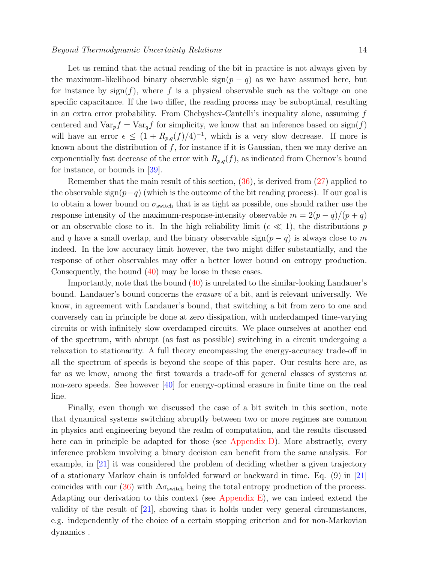### Beyond Thermodynamic Uncertainty Relations 14

Let us remind that the actual reading of the bit in practice is not always given by the maximum-likelihood binary observable  $sign(p - q)$  as we have assumed here, but for instance by  $sign(f)$ , where f is a physical observable such as the voltage on one specific capacitance. If the two differ, the reading process may be suboptimal, resulting in an extra error probability. From Chebyshev-Cantelli's inequality alone, assuming f centered and  $\text{Var}_p f = \text{Var}_q f$  for simplicity, we know that an inference based on sign(f) will have an error  $\epsilon \leq (1 + R_{p,q}(f)/4)^{-1}$ , which is a very slow decrease. If more is known about the distribution of  $f$ , for instance if it is Gaussian, then we may derive an exponentially fast decrease of the error with  $R_{p,q}(f)$ , as indicated from Chernov's bound for instance, or bounds in  $|39|$ .

Remember that the main result of this section, [\(36\)](#page-11-0), is derived from [\(27\)](#page-8-2) applied to the observable sign( $p-q$ ) (which is the outcome of the bit reading process). If our goal is to obtain a lower bound on  $\sigma_{switch}$  that is as tight as possible, one should rather use the response intensity of the maximum-response-intensity observable  $m = 2(p - q)/(p + q)$ or an observable close to it. In the high reliability limit ( $\epsilon \ll 1$ ), the distributions p and q have a small overlap, and the binary observable  $sign(p - q)$  is always close to m indeed. In the low accuracy limit however, the two might differ substantially, and the response of other observables may offer a better lower bound on entropy production. Consequently, the bound [\(40\)](#page-12-0) may be loose in these cases.

Importantly, note that the bound [\(40\)](#page-12-0) is unrelated to the similar-looking Landauer's bound. Landauer's bound concerns the erasure of a bit, and is relevant universally. We know, in agreement with Landauer's bound, that switching a bit from zero to one and conversely can in principle be done at zero dissipation, with underdamped time-varying circuits or with infinitely slow overdamped circuits. We place ourselves at another end of the spectrum, with abrupt (as fast as possible) switching in a circuit undergoing a relaxation to stationarity. A full theory encompassing the energy-accuracy trade-off in all the spectrum of speeds is beyond the scope of this paper. Our results here are, as far as we know, among the first towards a trade-off for general classes of systems at non-zero speeds. See however [\[40\]](#page-27-4) for energy-optimal erasure in finite time on the real line.

Finally, even though we discussed the case of a bit switch in this section, note that dynamical systems switching abruptly between two or more regimes are common in physics and engineering beyond the realm of computation, and the results discussed here can in principle be adapted for those (see [Appendix D\)](#page-24-0). More abstractly, every inference problem involving a binary decision can benefit from the same analysis. For example, in [\[21\]](#page-26-20) it was considered the problem of deciding whether a given trajectory of a stationary Markov chain is unfolded forward or backward in time. Eq. (9) in [\[21\]](#page-26-20) coincides with our [\(36\)](#page-11-0) with  $\Delta \sigma_{\text{switch}}$  being the total entropy production of the process. Adapting our derivation to this context (see Appendix  $E$ ), we can indeed extend the validity of the result of  $\vert 21\vert$ , showing that it holds under very general circumstances, e.g. independently of the choice of a certain stopping criterion and for non-Markovian dynamics .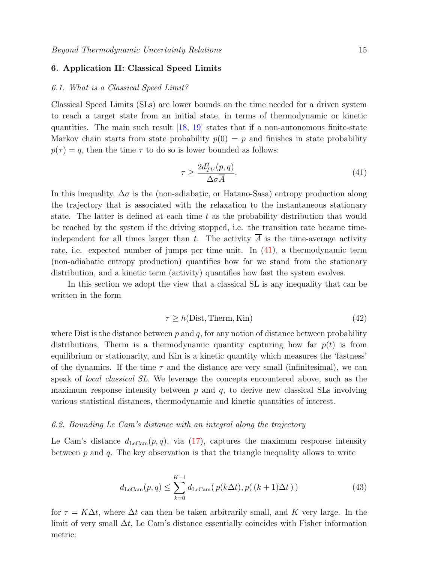### 6. Application II: Classical Speed Limits

### 6.1. What is a Classical Speed Limit?

Classical Speed Limits (SLs) are lower bounds on the time needed for a driven system to reach a target state from an initial state, in terms of thermodynamic or kinetic quantities. The main such result  $[18, 19]$  $[18, 19]$  states that if a non-autonomous finite-state Markov chain starts from state probability  $p(0) = p$  and finishes in state probability  $p(\tau) = q$ , then the time  $\tau$  to do so is lower bounded as follows:

<span id="page-14-0"></span>
$$
\tau \ge \frac{2d_{TV}^2(p,q)}{\Delta \sigma \overline{A}}.\tag{41}
$$

In this inequality,  $\Delta \sigma$  is the (non-adiabatic, or Hatano-Sasa) entropy production along the trajectory that is associated with the relaxation to the instantaneous stationary state. The latter is defined at each time  $t$  as the probability distribution that would be reached by the system if the driving stopped, i.e. the transition rate became timeindependent for all times larger than t. The activity  $\overline{A}$  is the time-average activity rate, i.e. expected number of jumps per time unit. In [\(41\)](#page-14-0), a thermodynamic term (non-adiabatic entropy production) quantifies how far we stand from the stationary distribution, and a kinetic term (activity) quantifies how fast the system evolves.

In this section we adopt the view that a classical SL is any inequality that can be written in the form

<span id="page-14-1"></span>
$$
\tau \ge h(\text{Dist}, \text{Therm}, \text{Kin})\tag{42}
$$

where Dist is the distance between  $p$  and  $q$ , for any notion of distance between probability distributions, Therm is a thermodynamic quantity capturing how far  $p(t)$  is from equilibrium or stationarity, and Kin is a kinetic quantity which measures the 'fastness' of the dynamics. If the time  $\tau$  and the distance are very small (infinitesimal), we can speak of local classical SL. We leverage the concepts encountered above, such as the maximum response intensity between  $p$  and  $q$ , to derive new classical SLs involving various statistical distances, thermodynamic and kinetic quantities of interest.

### 6.2. Bounding Le Cam's distance with an integral along the trajectory

Le Cam's distance  $d_{\text{LeCam}}(p,q)$ , via [\(17\)](#page-7-0), captures the maximum response intensity between  $p$  and  $q$ . The key observation is that the triangle inequality allows to write

$$
d_{\text{LeCam}}(p,q) \le \sum_{k=0}^{K-1} d_{\text{LeCam}}(p(k\Delta t), p((k+1)\Delta t))
$$
\n(43)

for  $\tau = K\Delta t$ , where  $\Delta t$  can then be taken arbitrarily small, and K very large. In the limit of very small  $\Delta t$ , Le Cam's distance essentially coincides with Fisher information metric: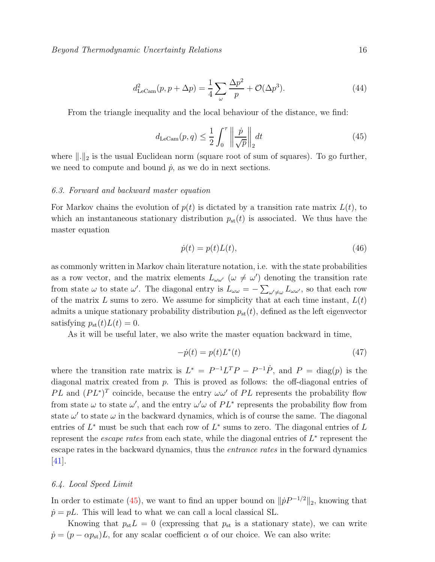$$
d_{\text{LeCam}}^2(p, p + \Delta p) = \frac{1}{4} \sum_{\omega} \frac{\Delta p^2}{p} + \mathcal{O}(\Delta p^3). \tag{44}
$$

From the triangle inequality and the local behaviour of the distance, we find:

<span id="page-15-0"></span>
$$
d_{\text{LeCam}}(p,q) \le \frac{1}{2} \int_0^\tau \left\| \frac{\dot{p}}{\sqrt{p}} \right\|_2 dt \tag{45}
$$

where  $\|\cdot\|_2$  is the usual Euclidean norm (square root of sum of squares). To go further, we need to compute and bound  $\dot{p}$ , as we do in next sections.

### 6.3. Forward and backward master equation

For Markov chains the evolution of  $p(t)$  is dictated by a transition rate matrix  $L(t)$ , to which an instantaneous stationary distribution  $p_{\rm st}(t)$  is associated. We thus have the master equation

$$
\dot{p}(t) = p(t)L(t),\tag{46}
$$

as commonly written in Markov chain literature notation, i.e. with the state probabilities as a row vector, and the matrix elements  $L_{\omega \omega'}$  ( $\omega \neq \omega'$ ) denoting the transition rate from state  $\omega$  to state  $\omega'$ . The diagonal entry is  $L_{\omega\omega} = -\sum_{\omega'\neq\omega} L_{\omega\omega'}$ , so that each row of the matrix L sums to zero. We assume for simplicity that at each time instant,  $L(t)$ admits a unique stationary probability distribution  $p_{\rm st}(t)$ , defined as the left eigenvector satisfying  $p_{\rm st}(t)L(t) = 0$ .

As it will be useful later, we also write the master equation backward in time,

$$
-\dot{p}(t) = p(t)L^*(t) \tag{47}
$$

where the transition rate matrix is  $L^* = P^{-1}L^T P - P^{-1} \dot{P}$ , and  $P = \text{diag}(p)$  is the diagonal matrix created from p. This is proved as follows: the off-diagonal entries of PL and  $(PL^*)^T$  coincide, because the entry  $\omega\omega'$  of PL represents the probability flow from state  $\omega$  to state  $\omega'$ , and the entry  $\omega'\omega$  of  $PL^*$  represents the probability flow from state  $\omega'$  to state  $\omega$  in the backward dynamics, which is of course the same. The diagonal entries of  $L^*$  must be such that each row of  $L^*$  sums to zero. The diagonal entries of  $L$ represent the *escape rates* from each state, while the diagonal entries of  $L^*$  represent the escape rates in the backward dynamics, thus the entrance rates in the forward dynamics [\[41\]](#page-27-5).

### 6.4. Local Speed Limit

In order to estimate [\(45\)](#page-15-0), we want to find an upper bound on  $\| \dot{p} P^{-1/2} \|_2$ , knowing that  $\dot{p} = pL$ . This will lead to what we can call a local classical SL.

Knowing that  $p_{st}L = 0$  (expressing that  $p_{st}$  is a stationary state), we can write  $\dot{p} = (p - \alpha p_{\rm st})L$ , for any scalar coefficient  $\alpha$  of our choice. We can also write: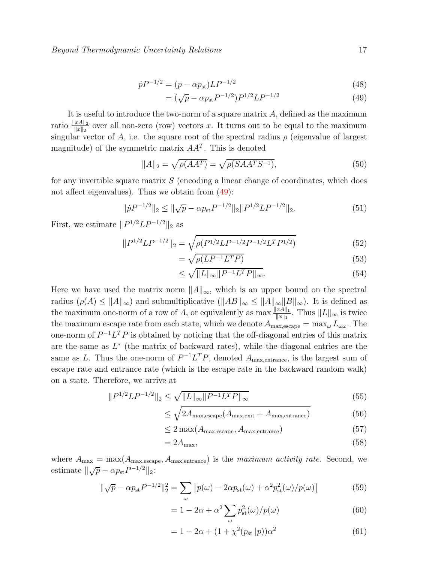$$
\dot{p}P^{-1/2} = (p - \alpha p_{\rm st})LP^{-1/2} \tag{48}
$$

<span id="page-16-0"></span>
$$
= (\sqrt{p} - \alpha p_{\rm st} P^{-1/2}) P^{1/2} L P^{-1/2}
$$
\n(49)

It is useful to introduce the two-norm of a square matrix A, defined as the maximum ratio  $\frac{\|xA\|_2}{\|x\|_2}$  over all non-zero (row) vectors x. It turns out to be equal to the maximum singular vector of A, i.e. the square root of the spectral radius  $\rho$  (eigenvalue of largest magnitude) of the symmetric matrix  $AA<sup>T</sup>$ . This is denoted

$$
||A||_2 = \sqrt{\rho(AA^T)} = \sqrt{\rho(SA A^T S^{-1})},
$$
\n(50)

for any invertible square matrix  $S$  (encoding a linear change of coordinates, which does not affect eigenvalues). Thus we obtain from  $(49)$ :

$$
\|\dot{p}P^{-1/2}\|_2 \le \|\sqrt{p} - \alpha p_{\rm st}P^{-1/2}\|_2 \|P^{1/2}LP^{-1/2}\|_2. \tag{51}
$$

First, we estimate  $||P^{1/2}LP^{-1/2}||_2$  as

$$
||P^{1/2}LP^{-1/2}||_2 = \sqrt{\rho(P^{1/2}LP^{-1/2}P^{-1/2}L^T P^{1/2})}
$$
\n(52)

<span id="page-16-2"></span>
$$
=\sqrt{\rho(LP^{-1}L^{T}P)}\tag{53}
$$

$$
\leq \sqrt{\|L\|_{\infty}\|P^{-1}L^T P\|_{\infty}}.\tag{54}
$$

Here we have used the matrix norm  $||A||_{\infty}$ , which is an upper bound on the spectral radius  $(\rho(A) \leq ||A||_{\infty})$  and submultiplicative  $(||AB||_{\infty} \leq ||A||_{\infty}||B||_{\infty})$ . It is defined as the maximum one-norm of a row of A, or equivalently as  $\max \frac{\|xA\|_1}{\|x\|_1}$ . Thus  $\|L\|_{\infty}$  is twice the maximum escape rate from each state, which we denote  $A_{\text{max,escape}} = \max_{\omega} L_{\omega\omega}$ . The one-norm of  $P^{-1}L^{T}P$  is obtained by noticing that the off-diagonal entries of this matrix are the same as  $L^*$  (the matrix of backward rates), while the diagonal entries are the same as L. Thus the one-norm of  $P^{-1}L^{T}P$ , denoted  $A_{\text{max,entrance}}$ , is the largest sum of escape rate and entrance rate (which is the escape rate in the backward random walk) on a state. Therefore, we arrive at

$$
||P^{1/2}LP^{-1/2}||_2 \le \sqrt{||L||_{\infty}||P^{-1}L^T P||_{\infty}}
$$
\n(55)

$$
\leq \sqrt{2A_{\text{max,escape}}(A_{\text{max,exit}} + A_{\text{max,entrance}})} \tag{56}
$$

$$
\leq 2 \max(A_{\max, \text{escape}}, A_{\max, \text{entrance}}) \tag{57}
$$

$$
=2A_{\max},\tag{58}
$$

where  $A_{\text{max}} = \max(A_{\text{max,escape}}, A_{\text{max,entries}})$  is the maximum activity rate. Second, we estimate  $\|\sqrt{p} - \alpha p_{\text{st}} P^{-1/2}\|_2$ :

$$
\|\sqrt{p} - \alpha p_{\rm st} P^{-1/2}\|_2^2 = \sum_{\omega} \left[ p(\omega) - 2\alpha p_{\rm st}(\omega) + \alpha^2 p_{\rm st}^2(\omega) / p(\omega) \right]
$$
(59)

$$
= 1 - 2\alpha + \alpha^2 \sum_{\omega} p_{\rm st}^2(\omega) / p(\omega)
$$
\n(60)

<span id="page-16-1"></span>
$$
= 1 - 2\alpha + (1 + \chi^2(p_{st}||p))\alpha^2
$$
\n(61)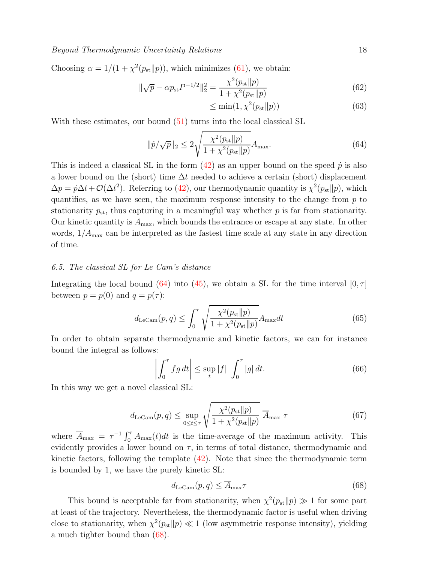### Beyond Thermodynamic Uncertainty Relations 18

Choosing  $\alpha = 1/(1 + \chi^2(p_{st}||p))$ , which minimizes [\(61\)](#page-16-1), we obtain:

$$
\|\sqrt{p} - \alpha p_{\rm st} P^{-1/2}\|_2^2 = \frac{\chi^2(p_{\rm st} \| p)}{1 + \chi^2(p_{\rm st} \| p)}
$$
(62)

$$
\leq \min(1, \chi^2(p_{\rm st} \| p)) \tag{63}
$$

With these estimates, our bound  $(51)$  turns into the local classical SL

<span id="page-17-2"></span>
$$
\|\dot{p}/\sqrt{p}\|_2 \le 2\sqrt{\frac{\chi^2(p_{\rm st} \| p)}{1 + \chi^2(p_{\rm st} \| p)}} A_{\rm max}.\tag{64}
$$

This is indeed a classical SL in the form  $(42)$  as an upper bound on the speed  $\dot{p}$  is also a lower bound on the (short) time  $\Delta t$  needed to achieve a certain (short) displacement  $\Delta p = \dot{p}\Delta t + \mathcal{O}(\Delta t^2)$ . Referring to [\(42\)](#page-14-1), our thermodynamic quantity is  $\chi^2(p_{st}||p)$ , which quantifies, as we have seen, the maximum response intensity to the change from  $p$  to stationarity  $p_{st}$ , thus capturing in a meaningful way whether p is far from stationarity. Our kinetic quantity is  $A_{\text{max}}$ , which bounds the entrance or escape at any state. In other words,  $1/A_{\text{max}}$  can be interpreted as the fastest time scale at any state in any direction of time.

### 6.5. The classical SL for Le Cam's distance

Integrating the local bound [\(64\)](#page-17-2) into [\(45\)](#page-15-0), we obtain a SL for the time interval  $[0, \tau]$ between  $p = p(0)$  and  $q = p(\tau)$ :

<span id="page-17-4"></span>
$$
d_{\text{LeCam}}(p,q) \le \int_0^\tau \sqrt{\frac{\chi^2(p_{\text{st}}\|p)}{1 + \chi^2(p_{\text{st}}\|p)}} A_{\text{max}} dt \tag{65}
$$

In order to obtain separate thermodynamic and kinetic factors, we can for instance bound the integral as follows:

<span id="page-17-3"></span>
$$
\left| \int_0^\tau f g \, dt \right| \le \sup_t |f| \int_0^\tau |g| \, dt. \tag{66}
$$

In this way we get a novel classical SL:

<span id="page-17-0"></span>
$$
d_{\text{LeCam}}(p,q) \le \sup_{0 \le t \le \tau} \sqrt{\frac{\chi^2(p_{\text{st}}\|p)}{1 + \chi^2(p_{\text{st}}\|p)}} \ \overline{A}_{\text{max}} \ \tau \tag{67}
$$

where  $\overline{A}_{\text{max}} = \tau^{-1} \int_0^{\tau} A_{\text{max}}(t) dt$  is the time-average of the maximum activity. This evidently provides a lower bound on  $\tau$ , in terms of total distance, thermodynamic and kinetic factors, following the template [\(42\)](#page-14-1). Note that since the thermodynamic term is bounded by 1, we have the purely kinetic SL:

<span id="page-17-1"></span>
$$
d_{\text{LeCam}}(p,q) \le \overline{A}_{\text{max}} \tau \tag{68}
$$

This bound is acceptable far from stationarity, when  $\chi^2(p_{st}||p) \gg 1$  for some part at least of the trajectory. Nevertheless, the thermodynamic factor is useful when driving close to stationarity, when  $\chi^2(p_{st}||p) \ll 1$  (low asymmetric response intensity), yielding a much tighter bound than [\(68\)](#page-17-1).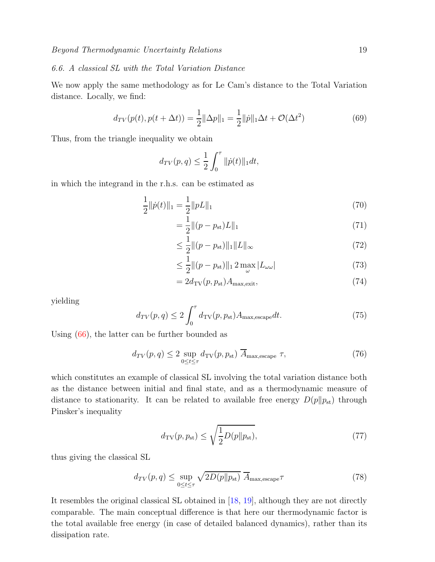### 6.6. A classical SL with the Total Variation Distance

We now apply the same methodology as for Le Cam's distance to the Total Variation distance. Locally, we find:

$$
d_{TV}(p(t), p(t + \Delta t)) = \frac{1}{2} ||\Delta p||_1 = \frac{1}{2} ||\dot{p}||_1 \Delta t + \mathcal{O}(\Delta t^2)
$$
\n(69)

Thus, from the triangle inequality we obtain

$$
d_{TV}(p,q) \le \frac{1}{2} \int_0^{\tau} ||\dot{p}(t)||_1 dt,
$$

in which the integrand in the r.h.s. can be estimated as

$$
\frac{1}{2}||\dot{p}(t)||_1 = \frac{1}{2}||pL||_1\tag{70}
$$

$$
= \frac{1}{2} ||(p - p_{\rm st})L||_1
$$
\n(71)

$$
\leq \frac{1}{2} \|(p - p_{\rm st})\|_1 \|L\|_{\infty} \tag{72}
$$

$$
\leq \frac{1}{2} \|(p - p_{\rm st})\|_1 2 \max_{\omega} |L_{\omega \omega}| \tag{73}
$$

$$
=2d_{\text{TV}}(p, p_{\text{st}})A_{\text{max,exit}},\tag{74}
$$

yielding

<span id="page-18-2"></span>
$$
d_{TV}(p,q) \le 2 \int_0^{\tau} d_{TV}(p,p_{st}) A_{\text{max,escape}} dt.
$$
 (75)

Using [\(66\)](#page-17-3), the latter can be further bounded as

<span id="page-18-0"></span>
$$
d_{TV}(p,q) \le 2 \sup_{0 \le t \le \tau} d_{TV}(p,p_{st}) \overline{A}_{\text{max,escape}} \tau,
$$
 (76)

which constitutes an example of classical SL involving the total variation distance both as the distance between initial and final state, and as a thermodynamic measure of distance to stationarity. It can be related to available free energy  $D(p||p_{st})$  through Pinsker's inequality

$$
d_{\text{TV}}(p, p_{\text{st}}) \le \sqrt{\frac{1}{2}D(p||p_{\text{st}})},\tag{77}
$$

thus giving the classical SL

<span id="page-18-1"></span>
$$
d_{TV}(p,q) \le \sup_{0 \le t \le \tau} \sqrt{2D(p||p_{\rm st})} \ \overline{A}_{\text{max,escape}} \tau \tag{78}
$$

It resembles the original classical SL obtained in [\[18,](#page-26-17) [19\]](#page-26-18), although they are not directly comparable. The main conceptual difference is that here our thermodynamic factor is the total available free energy (in case of detailed balanced dynamics), rather than its dissipation rate.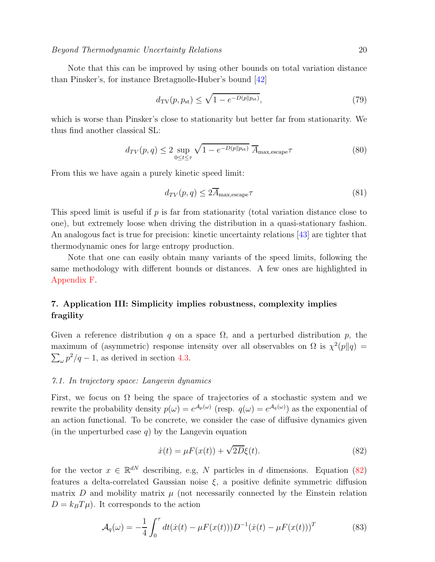Beyond Thermodynamic Uncertainty Relations 20

Note that this can be improved by using other bounds on total variation distance than Pinsker's, for instance Bretagnolle-Huber's bound [\[42\]](#page-27-6)

$$
d_{\text{TV}}(p, p_{\text{st}}) \le \sqrt{1 - e^{-D(p||p_{\text{st}})}},\tag{79}
$$

which is worse than Pinsker's close to stationarity but better far from stationarity. We thus find another classical SL:

<span id="page-19-0"></span>
$$
d_{TV}(p,q) \le 2 \sup_{0 \le t \le \tau} \sqrt{1 - e^{-D(p||p_{\rm st})}} \ \overline{A}_{\text{max,escape}} \tau \tag{80}
$$

From this we have again a purely kinetic speed limit:

<span id="page-19-1"></span>
$$
d_{TV}(p,q) \le 2\overline{A}_{\text{max,escape}}\tau\tag{81}
$$

This speed limit is useful if  $p$  is far from stationarity (total variation distance close to one), but extremely loose when driving the distribution in a quasi-stationary fashion. An analogous fact is true for precision: kinetic uncertainty relations [\[43\]](#page-27-7) are tighter that thermodynamic ones for large entropy production.

Note that one can easily obtain many variants of the speed limits, following the same methodology with different bounds or distances. A few ones are highlighted in [Appendix F.](#page-25-1)

# 7. Application III: Simplicity implies robustness, complexity implies fragility

Given a reference distribution q on a space  $\Omega$ , and a perturbed distribution p, the maximum of (asymmetric) response intensity over all observables on  $\Omega$  is  $\chi^2(p||q)$  =  $\sum_{\omega} p^2/q - 1$ , as derived in section [4.3.](#page-7-3)

### 7.1. In trajectory space: Langevin dynamics

First, we focus on  $\Omega$  being the space of trajectories of a stochastic system and we rewrite the probability density  $p(\omega) = e^{\mathcal{A}_p(\omega)}$  (resp.  $q(\omega) = e^{\mathcal{A}_q(\omega)}$ ) as the exponential of an action functional. To be concrete, we consider the case of diffusive dynamics given (in the unperturbed case  $q$ ) by the Langevin equation

<span id="page-19-2"></span>
$$
\dot{x}(t) = \mu F(x(t)) + \sqrt{2D}\xi(t). \tag{82}
$$

for the vector  $x \in \mathbb{R}^{dN}$  describing, e.g, N particles in d dimensions. Equation [\(82\)](#page-19-2) features a delta-correlated Gaussian noise  $\xi$ , a positive definite symmetric diffusion matrix  $D$  and mobility matrix  $\mu$  (not necessarily connected by the Einstein relation  $D = k_B T \mu$ ). It corresponds to the action

$$
\mathcal{A}_q(\omega) = -\frac{1}{4} \int_0^{\tau} dt (\dot{x}(t) - \mu F(x(t))) D^{-1} (\dot{x}(t) - \mu F(x(t)))^T
$$
(83)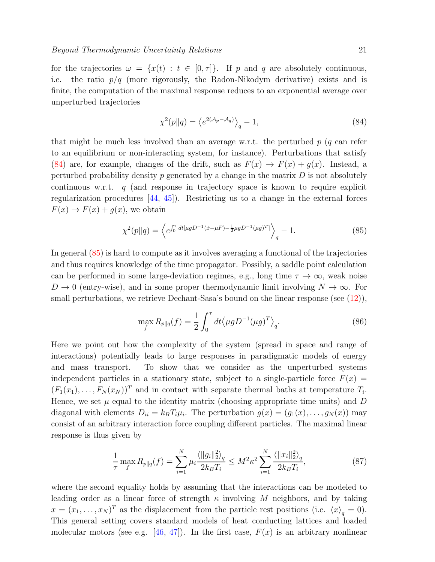<span id="page-20-1"></span><span id="page-20-0"></span>

for the trajectories  $\omega = \{x(t) : t \in [0, \tau]\}\$ . If p and q are absolutely continuous, i.e. the ratio  $p/q$  (more rigorously, the Radon-Nikodym derivative) exists and is finite, the computation of the maximal response reduces to an exponential average over unperturbed trajectories

$$
\chi^2(p||q) = \left\langle e^{2(\mathcal{A}_p - \mathcal{A}_q)} \right\rangle_q - 1,\tag{84}
$$

that might be much less involved than an average w.r.t. the perturbed  $p$  (q can refer to an equilibrium or non-interacting system, for instance). Perturbations that satisfy [\(84\)](#page-20-0) are, for example, changes of the drift, such as  $F(x) \to F(x) + g(x)$ . Instead, a perturbed probability density p generated by a change in the matrix  $D$  is not absolutely continuous w.r.t.  $q$  (and response in trajectory space is known to require explicit regularization procedures [\[44,](#page-27-8) [45\]](#page-27-9)). Restricting us to a change in the external forces  $F(x) \to F(x) + g(x)$ , we obtain

$$
\chi^2(p||q) = \left\langle e^{\int_0^{\tau} dt [\mu g D^{-1} (\dot{x} - \mu F) - \frac{1}{2} \mu g D^{-1} (\mu g)^T]} \right\rangle_q - 1. \tag{85}
$$

In general [\(85\)](#page-20-1) is hard to compute as it involves averaging a functional of the trajectories and thus requires knowledge of the time propagator. Possibly, a saddle point calculation can be performed in some large-deviation regimes, e.g., long time  $\tau \to \infty$ , weak noise  $D \to 0$  (entry-wise), and in some proper thermodynamic limit involving  $N \to \infty$ . For small perturbations, we retrieve Dechant-Sasa's bound on the linear response (see [\(12\)](#page-6-1)),

$$
\max_{f} R_{p||q}(f) = \frac{1}{2} \int_0^{\tau} dt \langle \mu g D^{-1} (\mu g)^T \rangle_q.
$$
 (86)

Here we point out how the complexity of the system (spread in space and range of interactions) potentially leads to large responses in paradigmatic models of energy and mass transport. To show that we consider as the unperturbed systems independent particles in a stationary state, subject to a single-particle force  $F(x) =$  $(F_1(x_1),...,F_N(x_N))^T$  and in contact with separate thermal baths at temperature  $T_i$ . Hence, we set  $\mu$  equal to the identity matrix (choosing appropriate time units) and  $D$ diagonal with elements  $D_{ii} = k_B T_i \mu_i$ . The perturbation  $g(x) = (g_1(x), \ldots, g_N(x))$  may consist of an arbitrary interaction force coupling different particles. The maximal linear response is thus given by

<span id="page-20-2"></span>
$$
\frac{1}{\tau} \max_{f} R_{p||q}(f) = \sum_{i=1}^{N} \mu_i \frac{\langle ||g_i||_2^2 \rangle_q}{2k_B T_i} \le M^2 \kappa^2 \sum_{i=1}^{N} \frac{\langle ||x_i||_2^2 \rangle_q}{2k_B T_i},\tag{87}
$$

where the second equality holds by assuming that the interactions can be modeled to leading order as a linear force of strength  $\kappa$  involving M neighbors, and by taking  $x = (x_1, \ldots, x_N)^T$  as the displacement from the particle rest positions (i.e.  $\langle x \rangle_q = 0$ ). This general setting covers standard models of heat conducting lattices and loaded molecular motors (see e.g. [\[46,](#page-27-10) [47\]](#page-27-11)). In the first case,  $F(x)$  is an arbitrary nonlinear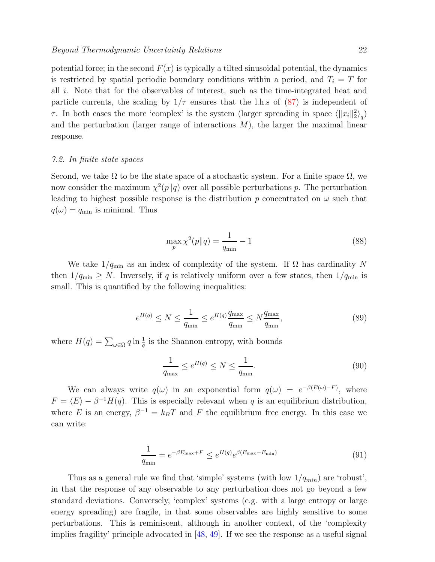potential force; in the second  $F(x)$  is typically a tilted sinusoidal potential, the dynamics is restricted by spatial periodic boundary conditions within a period, and  $T_i = T$  for all i. Note that for the observables of interest, such as the time-integrated heat and particle currents, the scaling by  $1/\tau$  ensures that the l.h.s of [\(87\)](#page-20-2) is independent of τ. In both cases the more 'complex' is the system (larger spreading in space  $\langle ||x_i||_2^2 \rangle_q$ ) and the perturbation (larger range of interactions  $M$ ), the larger the maximal linear response.

### 7.2. In finite state spaces

Second, we take  $\Omega$  to be the state space of a stochastic system. For a finite space  $\Omega$ , we now consider the maximum  $\chi^2(p||q)$  over all possible perturbations p. The perturbation leading to highest possible response is the distribution p concentrated on  $\omega$  such that  $q(\omega) = q_{\min}$  is minimal. Thus

$$
\max_{p} \chi^{2}(p \| q) = \frac{1}{q_{\min}} - 1
$$
\n(88)

We take  $1/q_{\text{min}}$  as an index of complexity of the system. If  $\Omega$  has cardinality N then  $1/q_{\text{min}} \geq N$ . Inversely, if q is relatively uniform over a few states, then  $1/q_{\text{min}}$  is small. This is quantified by the following inequalities:

$$
e^{H(q)} \le N \le \frac{1}{q_{\min}} \le e^{H(q)} \frac{q_{\max}}{q_{\min}} \le N \frac{q_{\max}}{q_{\min}},\tag{89}
$$

where  $H(q) = \sum_{\omega \in \Omega} q \ln \frac{1}{q}$  is the Shannon entropy, with bounds

<span id="page-21-0"></span>
$$
\frac{1}{q_{\text{max}}} \le e^{H(q)} \le N \le \frac{1}{q_{\text{min}}}.\tag{90}
$$

We can always write  $q(\omega)$  in an exponential form  $q(\omega) = e^{-\beta(E(\omega)-F)}$ , where  $F = \langle E \rangle - \beta^{-1}H(q)$ . This is especially relevant when q is an equilibrium distribution, where E is an energy,  $\beta^{-1} = k_B T$  and F the equilibrium free energy. In this case we can write:

$$
\frac{1}{q_{\min}} = e^{-\beta E_{\max} + F} \le e^{H(q)} e^{\beta (E_{\max} - E_{\min})}
$$
\n(91)

Thus as a general rule we find that 'simple' systems (with low  $1/q_{min}$ ) are 'robust', in that the response of any observable to any perturbation does not go beyond a few standard deviations. Conversely, 'complex' systems (e.g. with a large entropy or large energy spreading) are fragile, in that some observables are highly sensitive to some perturbations. This is reminiscent, although in another context, of the 'complexity implies fragility' principle advocated in [\[48,](#page-27-12) [49\]](#page-27-13). If we see the response as a useful signal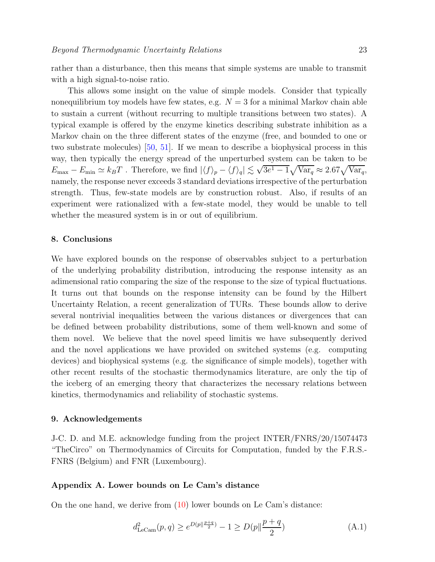rather than a disturbance, then this means that simple systems are unable to transmit with a high signal-to-noise ratio.

This allows some insight on the value of simple models. Consider that typically nonequilibrium toy models have few states, e.g.  $N = 3$  for a minimal Markov chain able to sustain a current (without recurring to multiple transitions between two states). A typical example is offered by the enzyme kinetics describing substrate inhibition as a Markov chain on the three different states of the enzyme (free, and bounded to one or two substrate molecules) [\[50,](#page-27-14) [51\]](#page-27-15). If we mean to describe a biophysical process in this way, then typically the energy spread of the unperturbed system can be taken to be  $E_{\text{max}} - E_{\text{min}} \simeq k_B T$ . Therefore, we find  $|\langle f \rangle_p - \langle f \rangle_q| \lesssim \sqrt{3e^1 - 1} \sqrt{\text{Var}_q} \approx 2.67 \sqrt{\text{Var}_q}$ , namely, the response never exceeds 3 standard deviations irrespective of the perturbation strength. Thus, few-state models are by construction robust. Also, if results of an experiment were rationalized with a few-state model, they would be unable to tell whether the measured system is in or out of equilibrium.

### 8. Conclusions

We have explored bounds on the response of observables subject to a perturbation of the underlying probability distribution, introducing the response intensity as an adimensional ratio comparing the size of the response to the size of typical fluctuations. It turns out that bounds on the response intensity can be found by the Hilbert Uncertainty Relation, a recent generalization of TURs. These bounds allow to derive several nontrivial inequalities between the various distances or divergences that can be defined between probability distributions, some of them well-known and some of them novel. We believe that the novel speed limitis we have subsequently derived and the novel applications we have provided on switched systems (e.g. computing devices) and biophysical systems (e.g. the significance of simple models), together with other recent results of the stochastic thermodynamics literature, are only the tip of the iceberg of an emerging theory that characterizes the necessary relations between kinetics, thermodynamics and reliability of stochastic systems.

### 9. Acknowledgements

J-C. D. and M.E. acknowledge funding from the project INTER/FNRS/20/15074473 "TheCirco" on Thermodynamics of Circuits for Computation, funded by the F.R.S.- FNRS (Belgium) and FNR (Luxembourg).

### <span id="page-22-0"></span>Appendix A. Lower bounds on Le Cam's distance

On the one hand, we derive from  $(10)$  lower bounds on Le Cam's distance:

$$
d_{\text{LeCam}}^2(p,q) \ge e^{D(p||\frac{p+q}{2})} - 1 \ge D(p||\frac{p+q}{2})\tag{A.1}
$$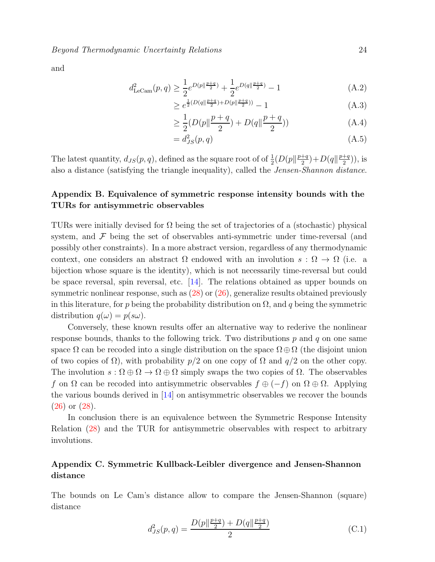$$
d_{\text{LeCam}}^2(p,q) \ge \frac{1}{2} e^{D(p||\frac{p+q}{2})} + \frac{1}{2} e^{D(q||\frac{p+q}{2})} - 1 \tag{A.2}
$$

$$
\geq e^{\frac{1}{2}(D(q||\frac{p+q}{2}) + D(p||\frac{p+q}{2}))} - 1 \tag{A.3}
$$

$$
\geq \frac{1}{2}(D(p||\frac{p+q}{2}) + D(q||\frac{p+q}{2}))\tag{A.4}
$$

<span id="page-23-2"></span>
$$
=d_{JS}^2(p,q) \tag{A.5}
$$

The latest quantity,  $d_{JS}(p,q)$ , defined as the square root of of  $\frac{1}{2}(D(p||\frac{p+q}{2}))$  $\frac{+q}{2}$ ) + D(q|| $\frac{p+q}{2}$  $\frac{+q}{2})$ ), is also a distance (satisfying the triangle inequality), called the Jensen-Shannon distance.

# <span id="page-23-0"></span>Appendix B. Equivalence of symmetric response intensity bounds with the TURs for antisymmetric observables

TURs were initially devised for  $\Omega$  being the set of trajectories of a (stochastic) physical system, and  $\mathcal F$  being the set of observables anti-symmetric under time-reversal (and possibly other constraints). In a more abstract version, regardless of any thermodynamic context, one considers an abstract  $\Omega$  endowed with an involution  $s : \Omega \to \Omega$  (i.e. a bijection whose square is the identity), which is not necessarily time-reversal but could be space reversal, spin reversal, etc. [\[14\]](#page-26-13). The relations obtained as upper bounds on symmetric nonlinear response, such as [\(28\)](#page-8-1) or [\(26\)](#page-8-0), generalize results obtained previously in this literature, for p being the probability distribution on  $\Omega$ , and q being the symmetric distribution  $q(\omega) = p(s\omega)$ .

Conversely, these known results offer an alternative way to rederive the nonlinear response bounds, thanks to the following trick. Two distributions  $p$  and  $q$  on one same space  $\Omega$  can be recoded into a single distribution on the space  $\Omega \oplus \Omega$  (the disjoint union of two copies of  $\Omega$ ), with probability  $p/2$  on one copy of  $\Omega$  and  $q/2$  on the other copy. The involution  $s : \Omega \oplus \Omega \to \Omega \oplus \Omega$  simply swaps the two copies of  $\Omega$ . The observables f on  $\Omega$  can be recoded into antisymmetric observables  $f \oplus (-f)$  on  $\Omega \oplus \Omega$ . Applying the various bounds derived in [\[14\]](#page-26-13) on antisymmetric observables we recover the bounds [\(26\)](#page-8-0) or [\(28\)](#page-8-1).

In conclusion there is an equivalence between the Symmetric Response Intensity Relation [\(28\)](#page-8-1) and the TUR for antisymmetric observables with respect to arbitrary involutions.

# <span id="page-23-1"></span>Appendix C. Symmetric Kullback-Leibler divergence and Jensen-Shannon distance

The bounds on Le Cam's distance allow to compare the Jensen-Shannon (square) distance

$$
d_{JS}^2(p,q) = \frac{D(p||\frac{p+q}{2}) + D(q||\frac{p+q}{2})}{2}
$$
 (C.1)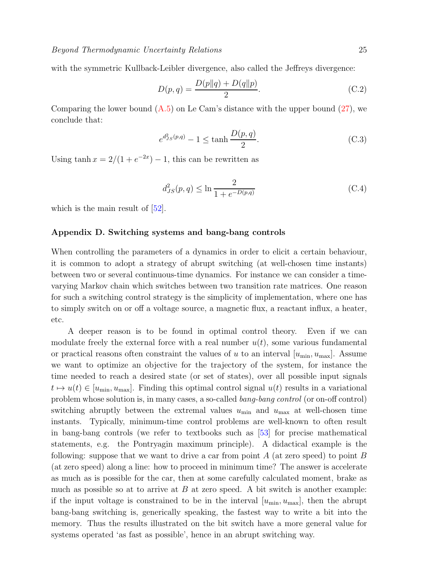with the symmetric Kullback-Leibler divergence, also called the Jeffreys divergence:

$$
D(p,q) = \frac{D(p||q) + D(q||p)}{2}.
$$
 (C.2)

Comparing the lower bound  $(A.5)$  on Le Cam's distance with the upper bound  $(27)$ , we conclude that:

$$
e^{d_{JS}^2(p,q)} - 1 \le \tanh \frac{D(p,q)}{2}.
$$
 (C.3)

Using  $\tanh x = 2/(1 + e^{-2x}) - 1$ , this can be rewritten as

$$
d_{JS}^2(p,q) \le \ln \frac{2}{1 + e^{-D(p,q)}}\tag{C.4}
$$

<span id="page-24-0"></span>which is the main result of  $|52|$ .

### Appendix D. Switching systems and bang-bang controls

When controlling the parameters of a dynamics in order to elicit a certain behaviour, it is common to adopt a strategy of abrupt switching (at well-chosen time instants) between two or several continuous-time dynamics. For instance we can consider a timevarying Markov chain which switches between two transition rate matrices. One reason for such a switching control strategy is the simplicity of implementation, where one has to simply switch on or off a voltage source, a magnetic flux, a reactant influx, a heater, etc.

A deeper reason is to be found in optimal control theory. Even if we can modulate freely the external force with a real number  $u(t)$ , some various fundamental or practical reasons often constraint the values of u to an interval  $[u_{\min}, u_{\max}]$ . Assume we want to optimize an objective for the trajectory of the system, for instance the time needed to reach a desired state (or set of states), over all possible input signals  $t \mapsto u(t) \in [u_{\min}, u_{\max}]$ . Finding this optimal control signal  $u(t)$  results in a variational problem whose solution is, in many cases, a so-called *bang-bang control* (or on-off control) switching abruptly between the extremal values  $u_{\min}$  and  $u_{\max}$  at well-chosen time instants. Typically, minimum-time control problems are well-known to often result in bang-bang controls (we refer to textbooks such as [\[53\]](#page-27-17) for precise mathematical statements, e.g. the Pontryagin maximum principle). A didactical example is the following: suppose that we want to drive a car from point  $A$  (at zero speed) to point  $B$ (at zero speed) along a line: how to proceed in minimum time? The answer is accelerate as much as is possible for the car, then at some carefully calculated moment, brake as much as possible so at to arrive at  $B$  at zero speed. A bit switch is another example: if the input voltage is constrained to be in the interval  $[u_{\min}, u_{\max}]$ , then the abrupt bang-bang switching is, generically speaking, the fastest way to write a bit into the memory. Thus the results illustrated on the bit switch have a more general value for systems operated 'as fast as possible', hence in an abrupt switching way.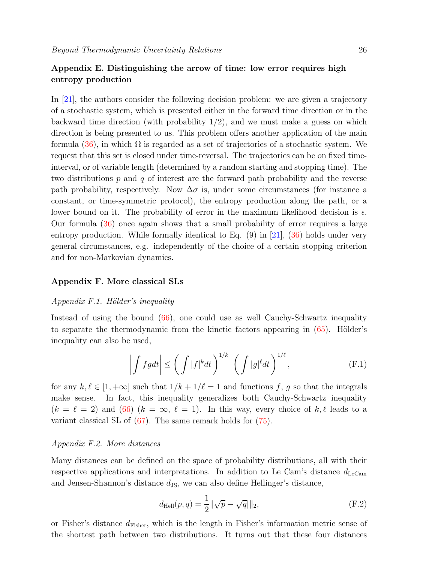### <span id="page-25-0"></span>Appendix E. Distinguishing the arrow of time: low error requires high entropy production

In [\[21\]](#page-26-20), the authors consider the following decision problem: we are given a trajectory of a stochastic system, which is presented either in the forward time direction or in the backward time direction (with probability  $1/2$ ), and we must make a guess on which direction is being presented to us. This problem offers another application of the main formula [\(36\)](#page-11-0), in which  $\Omega$  is regarded as a set of trajectories of a stochastic system. We request that this set is closed under time-reversal. The trajectories can be on fixed timeinterval, or of variable length (determined by a random starting and stopping time). The two distributions  $p$  and  $q$  of interest are the forward path probability and the reverse path probability, respectively. Now  $\Delta \sigma$  is, under some circumstances (for instance a constant, or time-symmetric protocol), the entropy production along the path, or a lower bound on it. The probability of error in the maximum likelihood decision is  $\epsilon$ . Our formula [\(36\)](#page-11-0) once again shows that a small probability of error requires a large entropy production. While formally identical to Eq.  $(9)$  in [\[21\]](#page-26-20),  $(36)$  holds under very general circumstances, e.g. independently of the choice of a certain stopping criterion and for non-Markovian dynamics.

### <span id="page-25-1"></span>Appendix F. More classical SLs

### $Appendix F.1.$  Hölder's inequality

Instead of using the bound [\(66\)](#page-17-3), one could use as well Cauchy-Schwartz inequality to separate the thermodynamic from the kinetic factors appearing in  $(65)$ . Hölder's inequality can also be used,

$$
\left| \int f g dt \right| \le \left( \int |f|^k dt \right)^{1/k} \left( \int |g|^{\ell} dt \right)^{1/\ell}, \tag{F.1}
$$

for any  $k, \ell \in [1, +\infty]$  such that  $1/k + 1/\ell = 1$  and functions f, g so that the integrals make sense. In fact, this inequality generalizes both Cauchy-Schwartz inequality  $(k = \ell = 2)$  and [\(66\)](#page-17-3)  $(k = \infty, \ell = 1)$ . In this way, every choice of k,  $\ell$  leads to a variant classical SL of [\(67\)](#page-17-0). The same remark holds for [\(75\)](#page-18-2).

### Appendix F.2. More distances

Many distances can be defined on the space of probability distributions, all with their respective applications and interpretations. In addition to Le Cam's distance  $d_{\text{LeCam}}$ and Jensen-Shannon's distance  $d_{\text{JS}}$ , we can also define Hellinger's distance,

$$
d_{\text{Hell}}(p, q) = \frac{1}{2} ||\sqrt{p} - \sqrt{q}||_2,
$$
 (F.2)

or Fisher's distance  $d_{\text{Fisher}}$ , which is the length in Fisher's information metric sense of the shortest path between two distributions. It turns out that these four distances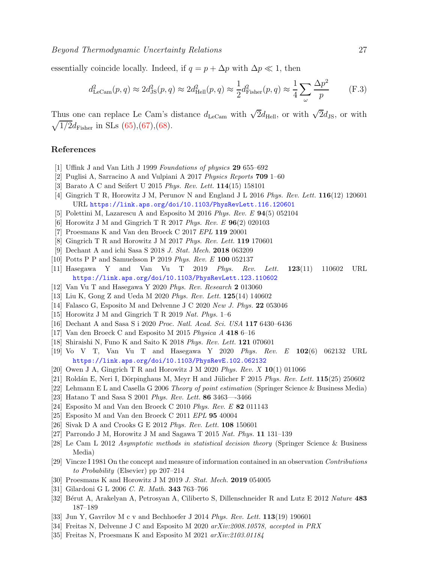essentially coincide locally. Indeed, if  $q = p + \Delta p$  with  $\Delta p \ll 1$ , then

$$
d_{\text{LeCam}}^2(p,q) \approx 2d_{\text{JS}}^2(p,q) \approx 2d_{\text{Hell}}^2(p,q) \approx \frac{1}{2}d_{\text{Fisher}}^2(p,q) \approx \frac{1}{4}\sum_{\omega}\frac{\Delta p^2}{p} \tag{F.3}
$$

Thus one can replace Le Cam's distance  $d_{\text{LeCam}}$  with  $\sqrt{2}d_{\text{Hell}}$ , or with  $\sqrt{2}d_{\text{JS}}$ , or with  $\sqrt{1/2}d_{\text{Fisher}}$  in SLs [\(65\)](#page-17-4),[\(67\)](#page-17-0),[\(68\)](#page-17-1).

### <span id="page-26-0"></span>References

- <span id="page-26-1"></span>[1] Uffink J and Van Lith J 1999 *Foundations of physics* 29 655–692
- <span id="page-26-2"></span>[2] Puglisi A, Sarracino A and Vulpiani A 2017 *Physics Reports* 709 1–60
- <span id="page-26-3"></span>[3] Barato A C and Seifert U 2015 *Phys. Rev. Lett.* 114(15) 158101
- <span id="page-26-4"></span>[4] Gingrich T R, Horowitz J M, Perunov N and England J L 2016 *Phys. Rev. Lett.* 116(12) 120601 URL <https://link.aps.org/doi/10.1103/PhysRevLett.116.120601>
- <span id="page-26-5"></span>[5] Polettini M, Lazarescu A and Esposito M 2016 *Phys. Rev. E* 94(5) 052104
- <span id="page-26-6"></span>[6] Horowitz J M and Gingrich T R 2017 *Phys. Rev. E* 96(2) 020103
- <span id="page-26-7"></span>[7] Proesmans K and Van den Broeck C 2017 *EPL* 119 20001
- <span id="page-26-8"></span>[8] Gingrich T R and Horowitz J M 2017 *Phys. Rev. Lett.* 119 170601
- <span id="page-26-9"></span>[9] Dechant A and ichi Sasa S 2018 *J. Stat. Mech.* 2018 063209
- <span id="page-26-10"></span>[10] Potts P P and Samuelsson P 2019 *Phys. Rev. E* 100 052137
- <span id="page-26-11"></span>[11] Hasegawa Y and Van Vu T 2019 *Phys. Rev. Lett.* 123(11) 110602 URL <https://link.aps.org/doi/10.1103/PhysRevLett.123.110602>
- <span id="page-26-12"></span>[12] Van Vu T and Hasegawa Y 2020 *Phys. Rev. Research* 2 013060
- <span id="page-26-13"></span>[13] Liu K, Gong Z and Ueda M 2020 *Phys. Rev. Lett.* 125(14) 140602
- <span id="page-26-14"></span>[14] Falasco G, Esposito M and Delvenne J C 2020 *New J. Phys.* 22 053046
- <span id="page-26-15"></span>[15] Horowitz J M and Gingrich T R 2019 *Nat. Phys.* 1–6
- <span id="page-26-16"></span>[16] Dechant A and Sasa S i 2020 *Proc. Natl. Acad. Sci. USA* 117 6430–6436
- <span id="page-26-17"></span>[17] Van den Broeck C and Esposito M 2015 *Physica A* 418 6–16
- <span id="page-26-18"></span>[18] Shiraishi N, Funo K and Saito K 2018 *Phys. Rev. Lett.* 121 070601
- [19] Vo V T, Van Vu T and Hasegawa Y 2020 *Phys. Rev. E* 102(6) 062132 URL <https://link.aps.org/doi/10.1103/PhysRevE.102.062132>
- <span id="page-26-20"></span><span id="page-26-19"></span>[20] Owen J A, Gingrich T R and Horowitz J M 2020 *Phys. Rev. X* 10(1) 011066
- <span id="page-26-21"></span>[21] Roldán E, Neri I, Dörpinghaus M, Meyr H and Jülicher F 2015 *Phys. Rev. Lett.* **115**(25) 250602
- <span id="page-26-22"></span>[22] Lehmann E L and Casella G 2006 *Theory of point estimation* (Springer Science & Business Media)
- <span id="page-26-23"></span>[23] Hatano T and Sasa S 2001 *Phys. Rev. Lett.* 86 3463—-3466
- <span id="page-26-24"></span>[24] Esposito M and Van den Broeck C 2010 *Phys. Rev. E* 82 011143
- <span id="page-26-25"></span>[25] Esposito M and Van den Broeck C 2011 *EPL* 95 40004
- <span id="page-26-26"></span>[26] Sivak D A and Crooks G E 2012 *Phys. Rev. Lett.* 108 150601
- <span id="page-26-27"></span>[27] Parrondo J M, Horowitz J M and Sagawa T 2015 *Nat. Phys.* 11 131–139
- <span id="page-26-28"></span>[28] Le Cam L 2012 *Asymptotic methods in statistical decision theory* (Springer Science & Business Media)
- [29] Vincze I 1981 On the concept and measure of information contained in an observation *Contributions to Probability* (Elsevier) pp 207–214
- <span id="page-26-30"></span><span id="page-26-29"></span>[30] Proesmans K and Horowitz J M 2019 *J. Stat. Mech.* 2019 054005
- <span id="page-26-31"></span>[31] Gilardoni G L 2006 *C. R. Math.* 343 763–766
- <span id="page-26-32"></span>[32] Bérut A, Arakelyan A, Petrosyan A, Ciliberto S, Dillenschneider R and Lutz E 2012 *Nature* 483 187–189
- <span id="page-26-33"></span>[33] Jun Y, Gavrilov M c v and Bechhoefer J 2014 *Phys. Rev. Lett.* 113(19) 190601
- <span id="page-26-34"></span>[34] Freitas N, Delvenne J C and Esposito M 2020 *arXiv:2008.10578, accepted in PRX*
- [35] Freitas N, Proesmans K and Esposito M 2021 *arXiv:2103.01184*